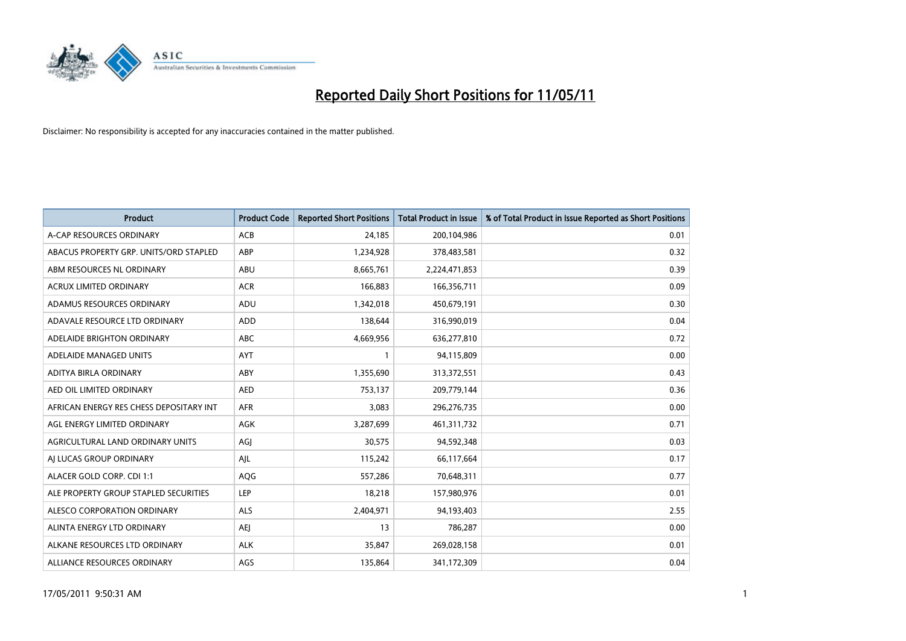

| <b>Product</b>                          | <b>Product Code</b> | <b>Reported Short Positions</b> | Total Product in Issue | % of Total Product in Issue Reported as Short Positions |
|-----------------------------------------|---------------------|---------------------------------|------------------------|---------------------------------------------------------|
| A-CAP RESOURCES ORDINARY                | <b>ACB</b>          | 24,185                          | 200,104,986            | 0.01                                                    |
| ABACUS PROPERTY GRP. UNITS/ORD STAPLED  | <b>ABP</b>          | 1,234,928                       | 378,483,581            | 0.32                                                    |
| ABM RESOURCES NL ORDINARY               | ABU                 | 8,665,761                       | 2,224,471,853          | 0.39                                                    |
| ACRUX LIMITED ORDINARY                  | <b>ACR</b>          | 166,883                         | 166,356,711            | 0.09                                                    |
| ADAMUS RESOURCES ORDINARY               | ADU                 | 1,342,018                       | 450,679,191            | 0.30                                                    |
| ADAVALE RESOURCE LTD ORDINARY           | <b>ADD</b>          | 138,644                         | 316,990,019            | 0.04                                                    |
| ADELAIDE BRIGHTON ORDINARY              | <b>ABC</b>          | 4,669,956                       | 636,277,810            | 0.72                                                    |
| ADELAIDE MANAGED UNITS                  | <b>AYT</b>          |                                 | 94,115,809             | 0.00                                                    |
| ADITYA BIRLA ORDINARY                   | ABY                 | 1,355,690                       | 313,372,551            | 0.43                                                    |
| AED OIL LIMITED ORDINARY                | <b>AED</b>          | 753,137                         | 209,779,144            | 0.36                                                    |
| AFRICAN ENERGY RES CHESS DEPOSITARY INT | <b>AFR</b>          | 3,083                           | 296,276,735            | 0.00                                                    |
| AGL ENERGY LIMITED ORDINARY             | <b>AGK</b>          | 3,287,699                       | 461,311,732            | 0.71                                                    |
| AGRICULTURAL LAND ORDINARY UNITS        | AGI                 | 30,575                          | 94,592,348             | 0.03                                                    |
| AJ LUCAS GROUP ORDINARY                 | AJL                 | 115,242                         | 66,117,664             | 0.17                                                    |
| ALACER GOLD CORP. CDI 1:1               | AQG                 | 557,286                         | 70,648,311             | 0.77                                                    |
| ALE PROPERTY GROUP STAPLED SECURITIES   | <b>LEP</b>          | 18,218                          | 157,980,976            | 0.01                                                    |
| ALESCO CORPORATION ORDINARY             | ALS                 | 2,404,971                       | 94,193,403             | 2.55                                                    |
| ALINTA ENERGY LTD ORDINARY              | <b>AEI</b>          | 13                              | 786,287                | 0.00                                                    |
| ALKANE RESOURCES LTD ORDINARY           | <b>ALK</b>          | 35,847                          | 269,028,158            | 0.01                                                    |
| ALLIANCE RESOURCES ORDINARY             | AGS                 | 135,864                         | 341,172,309            | 0.04                                                    |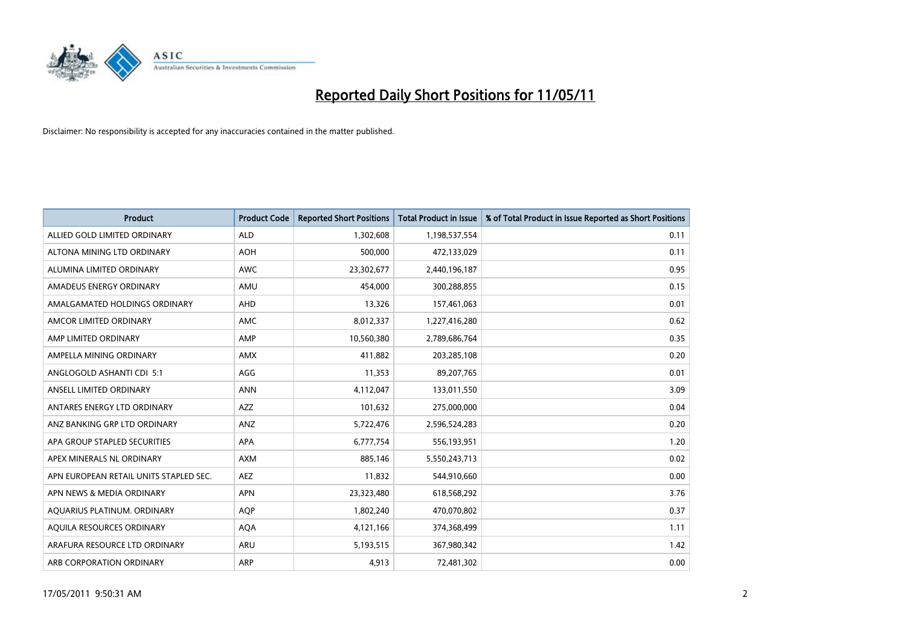

| <b>Product</b>                         | <b>Product Code</b> | <b>Reported Short Positions</b> | <b>Total Product in Issue</b> | % of Total Product in Issue Reported as Short Positions |
|----------------------------------------|---------------------|---------------------------------|-------------------------------|---------------------------------------------------------|
| ALLIED GOLD LIMITED ORDINARY           | <b>ALD</b>          | 1,302,608                       | 1,198,537,554                 | 0.11                                                    |
| ALTONA MINING LTD ORDINARY             | <b>AOH</b>          | 500,000                         | 472,133,029                   | 0.11                                                    |
| ALUMINA LIMITED ORDINARY               | <b>AWC</b>          | 23,302,677                      | 2,440,196,187                 | 0.95                                                    |
| AMADEUS ENERGY ORDINARY                | AMU                 | 454,000                         | 300,288,855                   | 0.15                                                    |
| AMALGAMATED HOLDINGS ORDINARY          | AHD                 | 13,326                          | 157,461,063                   | 0.01                                                    |
| AMCOR LIMITED ORDINARY                 | <b>AMC</b>          | 8,012,337                       | 1,227,416,280                 | 0.62                                                    |
| AMP LIMITED ORDINARY                   | AMP                 | 10,560,380                      | 2,789,686,764                 | 0.35                                                    |
| AMPELLA MINING ORDINARY                | <b>AMX</b>          | 411,882                         | 203,285,108                   | 0.20                                                    |
| ANGLOGOLD ASHANTI CDI 5:1              | AGG                 | 11,353                          | 89,207,765                    | 0.01                                                    |
| ANSELL LIMITED ORDINARY                | <b>ANN</b>          | 4,112,047                       | 133,011,550                   | 3.09                                                    |
| ANTARES ENERGY LTD ORDINARY            | <b>AZZ</b>          | 101,632                         | 275,000,000                   | 0.04                                                    |
| ANZ BANKING GRP LTD ORDINARY           | ANZ                 | 5,722,476                       | 2,596,524,283                 | 0.20                                                    |
| APA GROUP STAPLED SECURITIES           | <b>APA</b>          | 6,777,754                       | 556,193,951                   | 1.20                                                    |
| APEX MINERALS NL ORDINARY              | <b>AXM</b>          | 885,146                         | 5,550,243,713                 | 0.02                                                    |
| APN EUROPEAN RETAIL UNITS STAPLED SEC. | <b>AEZ</b>          | 11,832                          | 544,910,660                   | 0.00                                                    |
| APN NEWS & MEDIA ORDINARY              | <b>APN</b>          | 23,323,480                      | 618,568,292                   | 3.76                                                    |
| AQUARIUS PLATINUM. ORDINARY            | <b>AOP</b>          | 1,802,240                       | 470,070,802                   | 0.37                                                    |
| AQUILA RESOURCES ORDINARY              | <b>AQA</b>          | 4,121,166                       | 374,368,499                   | 1.11                                                    |
| ARAFURA RESOURCE LTD ORDINARY          | <b>ARU</b>          | 5,193,515                       | 367,980,342                   | 1.42                                                    |
| ARB CORPORATION ORDINARY               | <b>ARP</b>          | 4,913                           | 72,481,302                    | 0.00                                                    |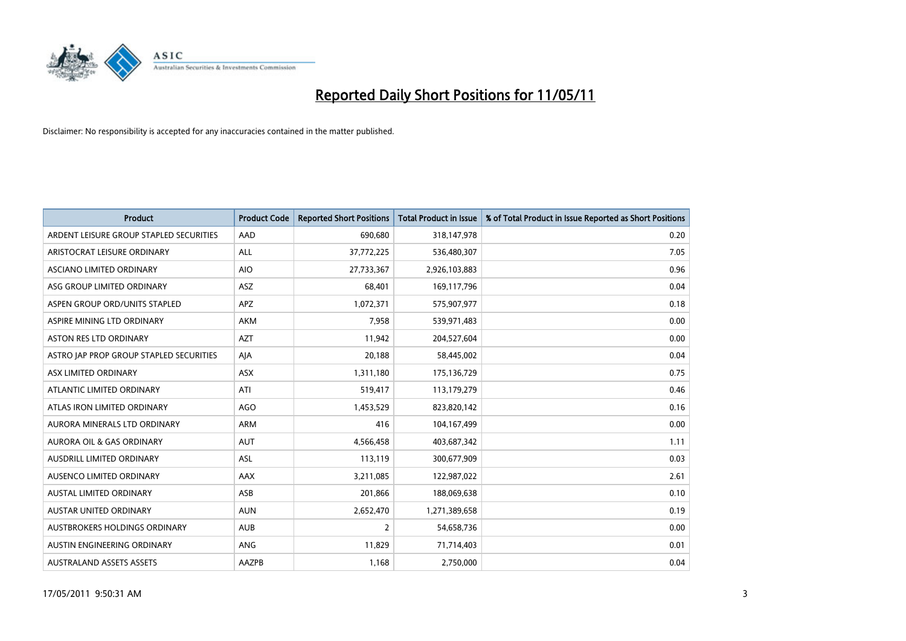

| <b>Product</b>                          | <b>Product Code</b> | <b>Reported Short Positions</b> | <b>Total Product in Issue</b> | % of Total Product in Issue Reported as Short Positions |
|-----------------------------------------|---------------------|---------------------------------|-------------------------------|---------------------------------------------------------|
| ARDENT LEISURE GROUP STAPLED SECURITIES | AAD                 | 690,680                         | 318,147,978                   | 0.20                                                    |
| ARISTOCRAT LEISURE ORDINARY             | ALL                 | 37,772,225                      | 536,480,307                   | 7.05                                                    |
| ASCIANO LIMITED ORDINARY                | <b>AIO</b>          | 27,733,367                      | 2,926,103,883                 | 0.96                                                    |
| ASG GROUP LIMITED ORDINARY              | <b>ASZ</b>          | 68,401                          | 169,117,796                   | 0.04                                                    |
| ASPEN GROUP ORD/UNITS STAPLED           | <b>APZ</b>          | 1,072,371                       | 575,907,977                   | 0.18                                                    |
| ASPIRE MINING LTD ORDINARY              | <b>AKM</b>          | 7,958                           | 539,971,483                   | 0.00                                                    |
| ASTON RES LTD ORDINARY                  | <b>AZT</b>          | 11,942                          | 204,527,604                   | 0.00                                                    |
| ASTRO JAP PROP GROUP STAPLED SECURITIES | AJA                 | 20,188                          | 58,445,002                    | 0.04                                                    |
| ASX LIMITED ORDINARY                    | <b>ASX</b>          | 1,311,180                       | 175,136,729                   | 0.75                                                    |
| ATLANTIC LIMITED ORDINARY               | ATI                 | 519,417                         | 113,179,279                   | 0.46                                                    |
| ATLAS IRON LIMITED ORDINARY             | <b>AGO</b>          | 1,453,529                       | 823,820,142                   | 0.16                                                    |
| AURORA MINERALS LTD ORDINARY            | ARM                 | 416                             | 104,167,499                   | 0.00                                                    |
| AURORA OIL & GAS ORDINARY               | <b>AUT</b>          | 4,566,458                       | 403,687,342                   | 1.11                                                    |
| <b>AUSDRILL LIMITED ORDINARY</b>        | <b>ASL</b>          | 113,119                         | 300,677,909                   | 0.03                                                    |
| AUSENCO LIMITED ORDINARY                | AAX                 | 3,211,085                       | 122,987,022                   | 2.61                                                    |
| <b>AUSTAL LIMITED ORDINARY</b>          | ASB                 | 201,866                         | 188,069,638                   | 0.10                                                    |
| AUSTAR UNITED ORDINARY                  | <b>AUN</b>          | 2,652,470                       | 1,271,389,658                 | 0.19                                                    |
| <b>AUSTBROKERS HOLDINGS ORDINARY</b>    | <b>AUB</b>          | 2                               | 54,658,736                    | 0.00                                                    |
| AUSTIN ENGINEERING ORDINARY             | <b>ANG</b>          | 11,829                          | 71,714,403                    | 0.01                                                    |
| <b>AUSTRALAND ASSETS ASSETS</b>         | AAZPB               | 1,168                           | 2,750,000                     | 0.04                                                    |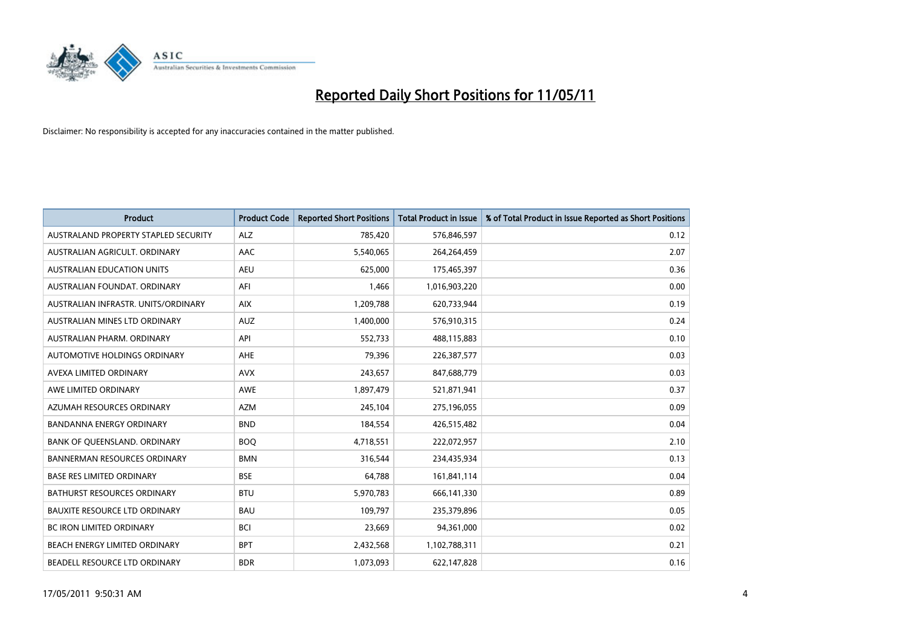

| <b>Product</b>                       | <b>Product Code</b> | <b>Reported Short Positions</b> | <b>Total Product in Issue</b> | % of Total Product in Issue Reported as Short Positions |
|--------------------------------------|---------------------|---------------------------------|-------------------------------|---------------------------------------------------------|
| AUSTRALAND PROPERTY STAPLED SECURITY | <b>ALZ</b>          | 785,420                         | 576,846,597                   | 0.12                                                    |
| AUSTRALIAN AGRICULT. ORDINARY        | AAC                 | 5,540,065                       | 264,264,459                   | 2.07                                                    |
| <b>AUSTRALIAN EDUCATION UNITS</b>    | <b>AEU</b>          | 625.000                         | 175,465,397                   | 0.36                                                    |
| AUSTRALIAN FOUNDAT, ORDINARY         | AFI                 | 1,466                           | 1,016,903,220                 | 0.00                                                    |
| AUSTRALIAN INFRASTR, UNITS/ORDINARY  | <b>AIX</b>          | 1,209,788                       | 620,733,944                   | 0.19                                                    |
| AUSTRALIAN MINES LTD ORDINARY        | <b>AUZ</b>          | 1,400,000                       | 576,910,315                   | 0.24                                                    |
| AUSTRALIAN PHARM, ORDINARY           | API                 | 552,733                         | 488,115,883                   | 0.10                                                    |
| AUTOMOTIVE HOLDINGS ORDINARY         | AHE                 | 79,396                          | 226,387,577                   | 0.03                                                    |
| AVEXA LIMITED ORDINARY               | <b>AVX</b>          | 243,657                         | 847,688,779                   | 0.03                                                    |
| AWE LIMITED ORDINARY                 | <b>AWE</b>          | 1,897,479                       | 521,871,941                   | 0.37                                                    |
| AZUMAH RESOURCES ORDINARY            | <b>AZM</b>          | 245,104                         | 275,196,055                   | 0.09                                                    |
| <b>BANDANNA ENERGY ORDINARY</b>      | <b>BND</b>          | 184,554                         | 426,515,482                   | 0.04                                                    |
| BANK OF QUEENSLAND. ORDINARY         | <b>BOO</b>          | 4,718,551                       | 222,072,957                   | 2.10                                                    |
| <b>BANNERMAN RESOURCES ORDINARY</b>  | <b>BMN</b>          | 316,544                         | 234,435,934                   | 0.13                                                    |
| <b>BASE RES LIMITED ORDINARY</b>     | <b>BSE</b>          | 64,788                          | 161,841,114                   | 0.04                                                    |
| BATHURST RESOURCES ORDINARY          | <b>BTU</b>          | 5,970,783                       | 666,141,330                   | 0.89                                                    |
| BAUXITE RESOURCE LTD ORDINARY        | <b>BAU</b>          | 109,797                         | 235,379,896                   | 0.05                                                    |
| BC IRON LIMITED ORDINARY             | <b>BCI</b>          | 23,669                          | 94,361,000                    | 0.02                                                    |
| BEACH ENERGY LIMITED ORDINARY        | <b>BPT</b>          | 2,432,568                       | 1,102,788,311                 | 0.21                                                    |
| BEADELL RESOURCE LTD ORDINARY        | <b>BDR</b>          | 1,073,093                       | 622,147,828                   | 0.16                                                    |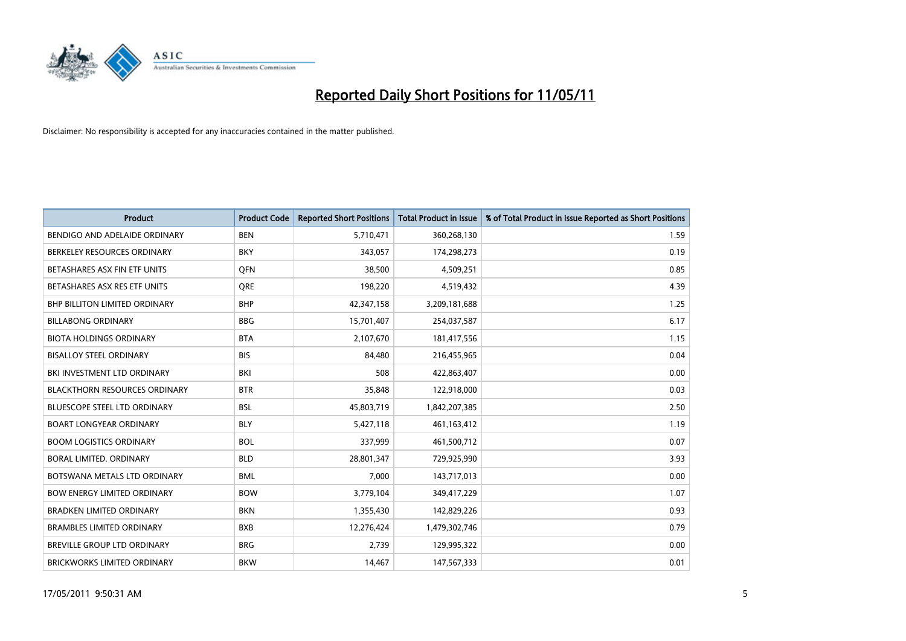

| <b>Product</b>                       | <b>Product Code</b> | <b>Reported Short Positions</b> | <b>Total Product in Issue</b> | % of Total Product in Issue Reported as Short Positions |
|--------------------------------------|---------------------|---------------------------------|-------------------------------|---------------------------------------------------------|
| BENDIGO AND ADELAIDE ORDINARY        | <b>BEN</b>          | 5,710,471                       | 360,268,130                   | 1.59                                                    |
| BERKELEY RESOURCES ORDINARY          | <b>BKY</b>          | 343,057                         | 174,298,273                   | 0.19                                                    |
| BETASHARES ASX FIN ETF UNITS         | <b>OFN</b>          | 38,500                          | 4,509,251                     | 0.85                                                    |
| BETASHARES ASX RES ETF UNITS         | <b>ORE</b>          | 198,220                         | 4,519,432                     | 4.39                                                    |
| BHP BILLITON LIMITED ORDINARY        | <b>BHP</b>          | 42,347,158                      | 3,209,181,688                 | 1.25                                                    |
| <b>BILLABONG ORDINARY</b>            | <b>BBG</b>          | 15,701,407                      | 254,037,587                   | 6.17                                                    |
| <b>BIOTA HOLDINGS ORDINARY</b>       | <b>BTA</b>          | 2,107,670                       | 181,417,556                   | 1.15                                                    |
| <b>BISALLOY STEEL ORDINARY</b>       | <b>BIS</b>          | 84,480                          | 216,455,965                   | 0.04                                                    |
| BKI INVESTMENT LTD ORDINARY          | BKI                 | 508                             | 422,863,407                   | 0.00                                                    |
| <b>BLACKTHORN RESOURCES ORDINARY</b> | <b>BTR</b>          | 35,848                          | 122,918,000                   | 0.03                                                    |
| <b>BLUESCOPE STEEL LTD ORDINARY</b>  | <b>BSL</b>          | 45,803,719                      | 1,842,207,385                 | 2.50                                                    |
| <b>BOART LONGYEAR ORDINARY</b>       | <b>BLY</b>          | 5,427,118                       | 461,163,412                   | 1.19                                                    |
| <b>BOOM LOGISTICS ORDINARY</b>       | <b>BOL</b>          | 337,999                         | 461,500,712                   | 0.07                                                    |
| BORAL LIMITED, ORDINARY              | <b>BLD</b>          | 28,801,347                      | 729,925,990                   | 3.93                                                    |
| BOTSWANA METALS LTD ORDINARY         | <b>BML</b>          | 7,000                           | 143,717,013                   | 0.00                                                    |
| <b>BOW ENERGY LIMITED ORDINARY</b>   | <b>BOW</b>          | 3,779,104                       | 349,417,229                   | 1.07                                                    |
| <b>BRADKEN LIMITED ORDINARY</b>      | <b>BKN</b>          | 1,355,430                       | 142,829,226                   | 0.93                                                    |
| <b>BRAMBLES LIMITED ORDINARY</b>     | <b>BXB</b>          | 12,276,424                      | 1,479,302,746                 | 0.79                                                    |
| <b>BREVILLE GROUP LTD ORDINARY</b>   | <b>BRG</b>          | 2,739                           | 129,995,322                   | 0.00                                                    |
| <b>BRICKWORKS LIMITED ORDINARY</b>   | <b>BKW</b>          | 14.467                          | 147,567,333                   | 0.01                                                    |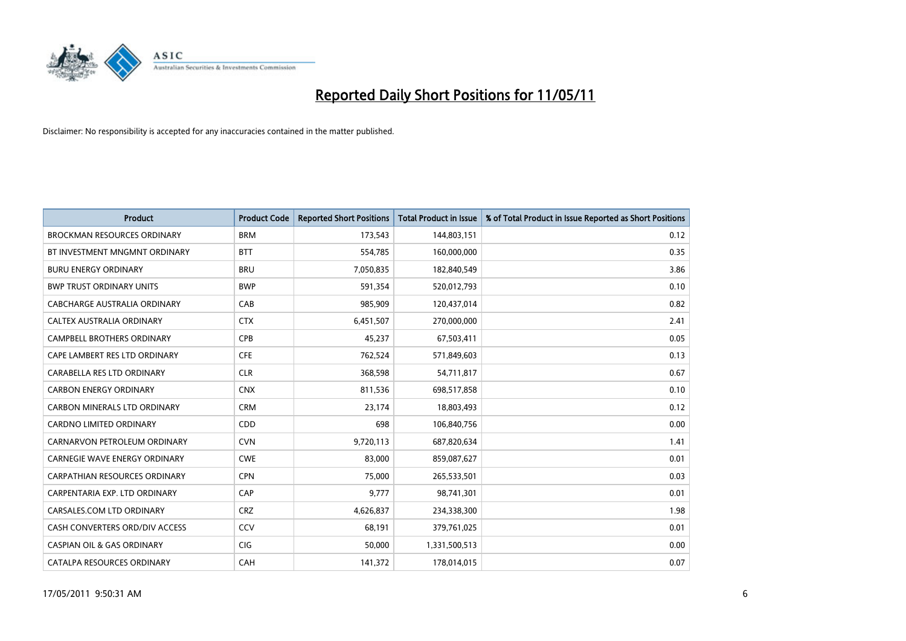

| <b>Product</b>                        | <b>Product Code</b> | <b>Reported Short Positions</b> | <b>Total Product in Issue</b> | % of Total Product in Issue Reported as Short Positions |
|---------------------------------------|---------------------|---------------------------------|-------------------------------|---------------------------------------------------------|
| <b>BROCKMAN RESOURCES ORDINARY</b>    | <b>BRM</b>          | 173,543                         | 144,803,151                   | 0.12                                                    |
| BT INVESTMENT MNGMNT ORDINARY         | <b>BTT</b>          | 554,785                         | 160,000,000                   | 0.35                                                    |
| <b>BURU ENERGY ORDINARY</b>           | <b>BRU</b>          | 7,050,835                       | 182,840,549                   | 3.86                                                    |
| <b>BWP TRUST ORDINARY UNITS</b>       | <b>BWP</b>          | 591,354                         | 520,012,793                   | 0.10                                                    |
| CABCHARGE AUSTRALIA ORDINARY          | CAB                 | 985,909                         | 120,437,014                   | 0.82                                                    |
| <b>CALTEX AUSTRALIA ORDINARY</b>      | <b>CTX</b>          | 6,451,507                       | 270,000,000                   | 2.41                                                    |
| <b>CAMPBELL BROTHERS ORDINARY</b>     | <b>CPB</b>          | 45,237                          | 67,503,411                    | 0.05                                                    |
| CAPE LAMBERT RES LTD ORDINARY         | <b>CFE</b>          | 762,524                         | 571,849,603                   | 0.13                                                    |
| CARABELLA RES LTD ORDINARY            | <b>CLR</b>          | 368,598                         | 54,711,817                    | 0.67                                                    |
| <b>CARBON ENERGY ORDINARY</b>         | <b>CNX</b>          | 811,536                         | 698,517,858                   | 0.10                                                    |
| CARBON MINERALS LTD ORDINARY          | <b>CRM</b>          | 23,174                          | 18,803,493                    | 0.12                                                    |
| <b>CARDNO LIMITED ORDINARY</b>        | CDD                 | 698                             | 106,840,756                   | 0.00                                                    |
| CARNARVON PETROLEUM ORDINARY          | <b>CVN</b>          | 9,720,113                       | 687,820,634                   | 1.41                                                    |
| CARNEGIE WAVE ENERGY ORDINARY         | <b>CWE</b>          | 83,000                          | 859,087,627                   | 0.01                                                    |
| CARPATHIAN RESOURCES ORDINARY         | <b>CPN</b>          | 75.000                          | 265,533,501                   | 0.03                                                    |
| CARPENTARIA EXP. LTD ORDINARY         | CAP                 | 9,777                           | 98,741,301                    | 0.01                                                    |
| CARSALES.COM LTD ORDINARY             | <b>CRZ</b>          | 4,626,837                       | 234,338,300                   | 1.98                                                    |
| CASH CONVERTERS ORD/DIV ACCESS        | CCV                 | 68,191                          | 379,761,025                   | 0.01                                                    |
| <b>CASPIAN OIL &amp; GAS ORDINARY</b> | <b>CIG</b>          | 50,000                          | 1,331,500,513                 | 0.00                                                    |
| CATALPA RESOURCES ORDINARY            | CAH                 | 141,372                         | 178,014,015                   | 0.07                                                    |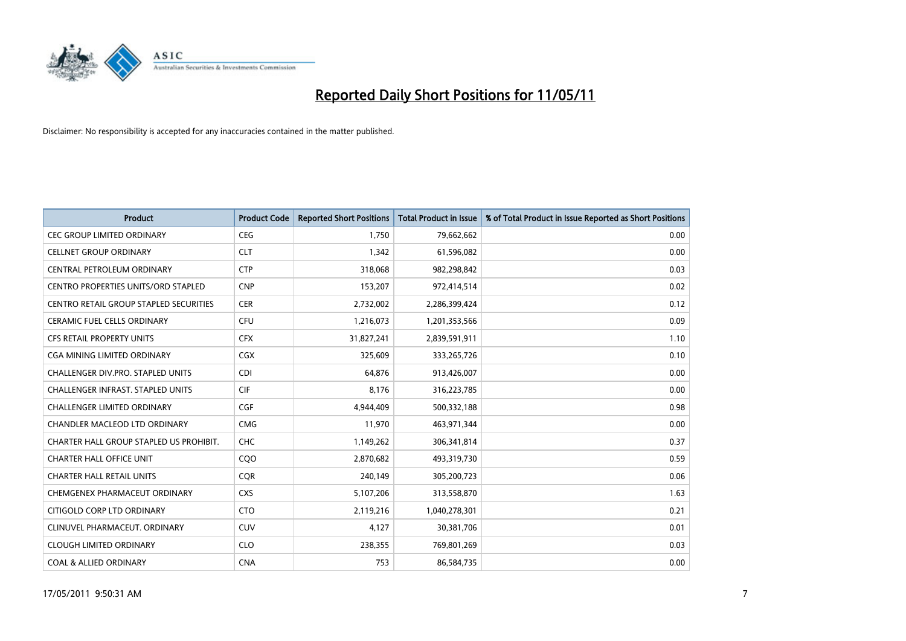

| <b>Product</b>                                | <b>Product Code</b> | <b>Reported Short Positions</b> | Total Product in Issue | % of Total Product in Issue Reported as Short Positions |
|-----------------------------------------------|---------------------|---------------------------------|------------------------|---------------------------------------------------------|
| <b>CEC GROUP LIMITED ORDINARY</b>             | <b>CEG</b>          | 1,750                           | 79,662,662             | 0.00                                                    |
| <b>CELLNET GROUP ORDINARY</b>                 | <b>CLT</b>          | 1,342                           | 61,596,082             | 0.00                                                    |
| CENTRAL PETROLEUM ORDINARY                    | <b>CTP</b>          | 318,068                         | 982,298,842            | 0.03                                                    |
| CENTRO PROPERTIES UNITS/ORD STAPLED           | <b>CNP</b>          | 153,207                         | 972,414,514            | 0.02                                                    |
| <b>CENTRO RETAIL GROUP STAPLED SECURITIES</b> | <b>CER</b>          | 2,732,002                       | 2,286,399,424          | 0.12                                                    |
| <b>CERAMIC FUEL CELLS ORDINARY</b>            | <b>CFU</b>          | 1,216,073                       | 1,201,353,566          | 0.09                                                    |
| <b>CFS RETAIL PROPERTY UNITS</b>              | <b>CFX</b>          | 31,827,241                      | 2,839,591,911          | 1.10                                                    |
| CGA MINING LIMITED ORDINARY                   | <b>CGX</b>          | 325,609                         | 333,265,726            | 0.10                                                    |
| <b>CHALLENGER DIV.PRO. STAPLED UNITS</b>      | <b>CDI</b>          | 64.876                          | 913,426,007            | 0.00                                                    |
| CHALLENGER INFRAST. STAPLED UNITS             | <b>CIF</b>          | 8,176                           | 316,223,785            | 0.00                                                    |
| CHALLENGER LIMITED ORDINARY                   | <b>CGF</b>          | 4,944,409                       | 500,332,188            | 0.98                                                    |
| CHANDLER MACLEOD LTD ORDINARY                 | <b>CMG</b>          | 11,970                          | 463,971,344            | 0.00                                                    |
| CHARTER HALL GROUP STAPLED US PROHIBIT.       | <b>CHC</b>          | 1,149,262                       | 306,341,814            | 0.37                                                    |
| <b>CHARTER HALL OFFICE UNIT</b>               | COO                 | 2,870,682                       | 493,319,730            | 0.59                                                    |
| <b>CHARTER HALL RETAIL UNITS</b>              | CQR                 | 240,149                         | 305,200,723            | 0.06                                                    |
| CHEMGENEX PHARMACEUT ORDINARY                 | <b>CXS</b>          | 5,107,206                       | 313,558,870            | 1.63                                                    |
| CITIGOLD CORP LTD ORDINARY                    | <b>CTO</b>          | 2,119,216                       | 1,040,278,301          | 0.21                                                    |
| CLINUVEL PHARMACEUT. ORDINARY                 | <b>CUV</b>          | 4,127                           | 30,381,706             | 0.01                                                    |
| <b>CLOUGH LIMITED ORDINARY</b>                | <b>CLO</b>          | 238,355                         | 769,801,269            | 0.03                                                    |
| <b>COAL &amp; ALLIED ORDINARY</b>             | <b>CNA</b>          | 753                             | 86,584,735             | 0.00                                                    |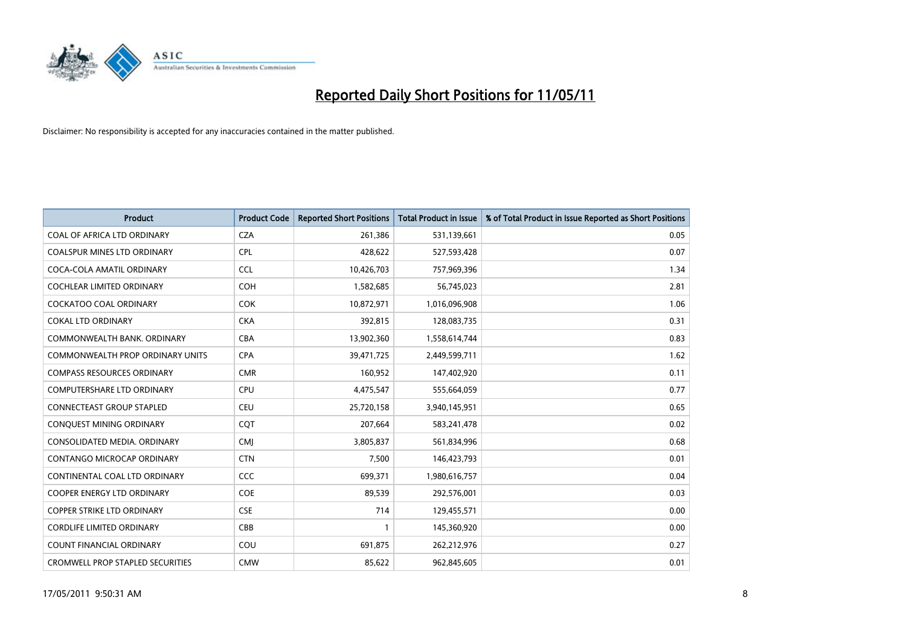

| <b>Product</b>                          | <b>Product Code</b> | <b>Reported Short Positions</b> | Total Product in Issue | % of Total Product in Issue Reported as Short Positions |
|-----------------------------------------|---------------------|---------------------------------|------------------------|---------------------------------------------------------|
| COAL OF AFRICA LTD ORDINARY             | <b>CZA</b>          | 261,386                         | 531,139,661            | 0.05                                                    |
| COALSPUR MINES LTD ORDINARY             | <b>CPL</b>          | 428,622                         | 527,593,428            | 0.07                                                    |
| COCA-COLA AMATIL ORDINARY               | <b>CCL</b>          | 10,426,703                      | 757,969,396            | 1.34                                                    |
| COCHLEAR LIMITED ORDINARY               | <b>COH</b>          | 1,582,685                       | 56,745,023             | 2.81                                                    |
| <b>COCKATOO COAL ORDINARY</b>           | <b>COK</b>          | 10,872,971                      | 1,016,096,908          | 1.06                                                    |
| <b>COKAL LTD ORDINARY</b>               | <b>CKA</b>          | 392,815                         | 128,083,735            | 0.31                                                    |
| COMMONWEALTH BANK, ORDINARY             | <b>CBA</b>          | 13,902,360                      | 1,558,614,744          | 0.83                                                    |
| COMMONWEALTH PROP ORDINARY UNITS        | <b>CPA</b>          | 39,471,725                      | 2,449,599,711          | 1.62                                                    |
| <b>COMPASS RESOURCES ORDINARY</b>       | <b>CMR</b>          | 160,952                         | 147,402,920            | 0.11                                                    |
| <b>COMPUTERSHARE LTD ORDINARY</b>       | <b>CPU</b>          | 4,475,547                       | 555,664,059            | 0.77                                                    |
| <b>CONNECTEAST GROUP STAPLED</b>        | CEU                 | 25,720,158                      | 3,940,145,951          | 0.65                                                    |
| CONQUEST MINING ORDINARY                | COT                 | 207,664                         | 583,241,478            | 0.02                                                    |
| CONSOLIDATED MEDIA, ORDINARY            | <b>CMJ</b>          | 3,805,837                       | 561,834,996            | 0.68                                                    |
| <b>CONTANGO MICROCAP ORDINARY</b>       | <b>CTN</b>          | 7,500                           | 146,423,793            | 0.01                                                    |
| CONTINENTAL COAL LTD ORDINARY           | CCC                 | 699,371                         | 1,980,616,757          | 0.04                                                    |
| COOPER ENERGY LTD ORDINARY              | <b>COE</b>          | 89,539                          | 292,576,001            | 0.03                                                    |
| COPPER STRIKE LTD ORDINARY              | <b>CSE</b>          | 714                             | 129,455,571            | 0.00                                                    |
| <b>CORDLIFE LIMITED ORDINARY</b>        | CBB                 |                                 | 145,360,920            | 0.00                                                    |
| <b>COUNT FINANCIAL ORDINARY</b>         | COU                 | 691,875                         | 262,212,976            | 0.27                                                    |
| <b>CROMWELL PROP STAPLED SECURITIES</b> | <b>CMW</b>          | 85,622                          | 962,845,605            | 0.01                                                    |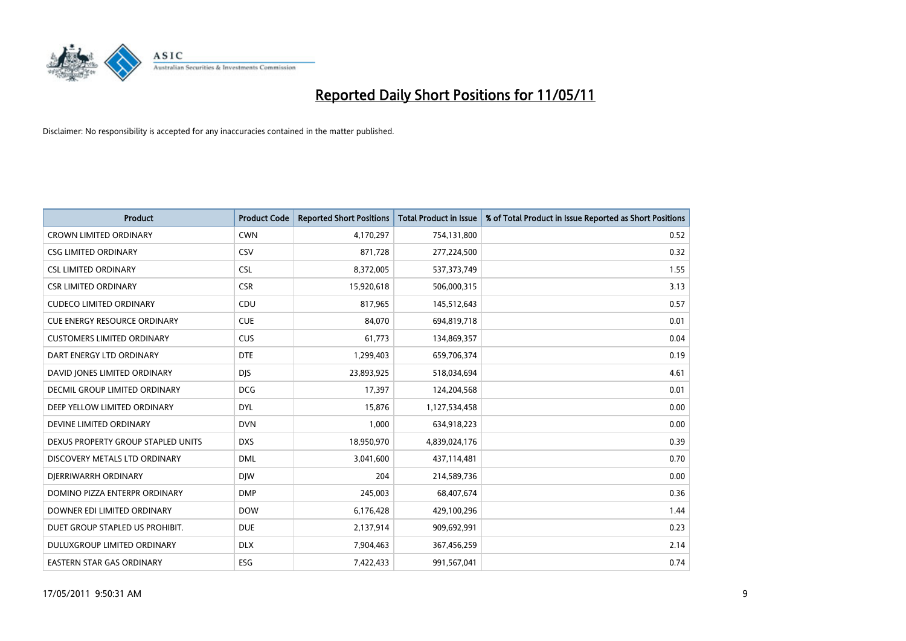

| <b>Product</b>                      | <b>Product Code</b> | <b>Reported Short Positions</b> | Total Product in Issue | % of Total Product in Issue Reported as Short Positions |
|-------------------------------------|---------------------|---------------------------------|------------------------|---------------------------------------------------------|
| <b>CROWN LIMITED ORDINARY</b>       | <b>CWN</b>          | 4,170,297                       | 754,131,800            | 0.52                                                    |
| <b>CSG LIMITED ORDINARY</b>         | CSV                 | 871,728                         | 277,224,500            | 0.32                                                    |
| <b>CSL LIMITED ORDINARY</b>         | <b>CSL</b>          | 8,372,005                       | 537,373,749            | 1.55                                                    |
| <b>CSR LIMITED ORDINARY</b>         | <b>CSR</b>          | 15,920,618                      | 506,000,315            | 3.13                                                    |
| <b>CUDECO LIMITED ORDINARY</b>      | CDU                 | 817,965                         | 145,512,643            | 0.57                                                    |
| <b>CUE ENERGY RESOURCE ORDINARY</b> | <b>CUE</b>          | 84,070                          | 694,819,718            | 0.01                                                    |
| <b>CUSTOMERS LIMITED ORDINARY</b>   | <b>CUS</b>          | 61,773                          | 134,869,357            | 0.04                                                    |
| DART ENERGY LTD ORDINARY            | <b>DTE</b>          | 1,299,403                       | 659,706,374            | 0.19                                                    |
| DAVID JONES LIMITED ORDINARY        | <b>DJS</b>          | 23,893,925                      | 518,034,694            | 4.61                                                    |
| DECMIL GROUP LIMITED ORDINARY       | <b>DCG</b>          | 17,397                          | 124,204,568            | 0.01                                                    |
| DEEP YELLOW LIMITED ORDINARY        | <b>DYL</b>          | 15,876                          | 1,127,534,458          | 0.00                                                    |
| DEVINE LIMITED ORDINARY             | <b>DVN</b>          | 1,000                           | 634,918,223            | 0.00                                                    |
| DEXUS PROPERTY GROUP STAPLED UNITS  | <b>DXS</b>          | 18,950,970                      | 4,839,024,176          | 0.39                                                    |
| DISCOVERY METALS LTD ORDINARY       | <b>DML</b>          | 3,041,600                       | 437,114,481            | 0.70                                                    |
| DIERRIWARRH ORDINARY                | <b>DIW</b>          | 204                             | 214,589,736            | 0.00                                                    |
| DOMINO PIZZA ENTERPR ORDINARY       | <b>DMP</b>          | 245,003                         | 68,407,674             | 0.36                                                    |
| DOWNER EDI LIMITED ORDINARY         | <b>DOW</b>          | 6,176,428                       | 429,100,296            | 1.44                                                    |
| DUET GROUP STAPLED US PROHIBIT.     | <b>DUE</b>          | 2,137,914                       | 909,692,991            | 0.23                                                    |
| DULUXGROUP LIMITED ORDINARY         | <b>DLX</b>          | 7,904,463                       | 367,456,259            | 2.14                                                    |
| EASTERN STAR GAS ORDINARY           | <b>ESG</b>          | 7.422.433                       | 991,567,041            | 0.74                                                    |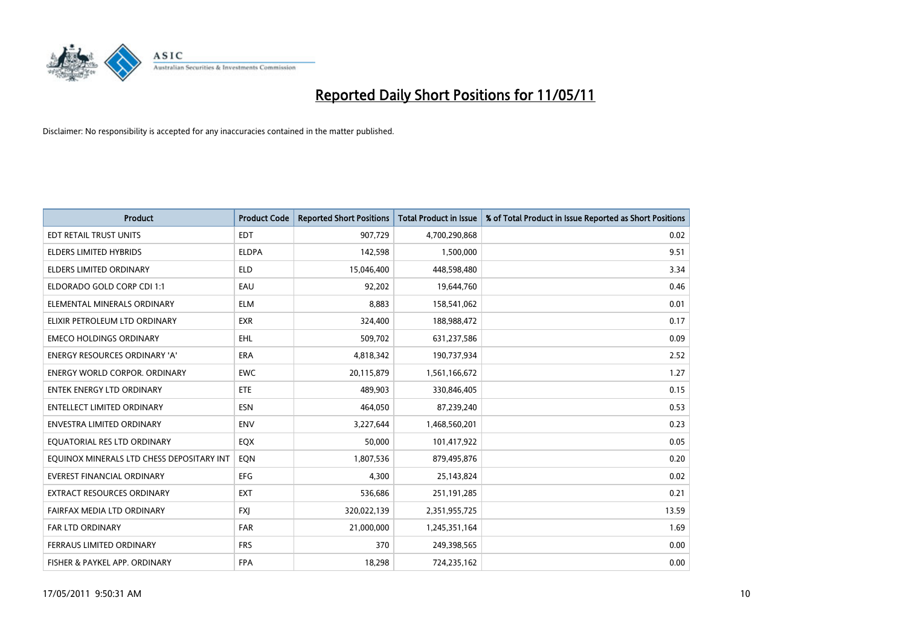

| <b>Product</b>                            | <b>Product Code</b> | <b>Reported Short Positions</b> | Total Product in Issue | % of Total Product in Issue Reported as Short Positions |
|-------------------------------------------|---------------------|---------------------------------|------------------------|---------------------------------------------------------|
| EDT RETAIL TRUST UNITS                    | <b>EDT</b>          | 907,729                         | 4,700,290,868          | 0.02                                                    |
| ELDERS LIMITED HYBRIDS                    | <b>ELDPA</b>        | 142,598                         | 1,500,000              | 9.51                                                    |
| ELDERS LIMITED ORDINARY                   | <b>ELD</b>          | 15,046,400                      | 448,598,480            | 3.34                                                    |
| ELDORADO GOLD CORP CDI 1:1                | EAU                 | 92,202                          | 19,644,760             | 0.46                                                    |
| ELEMENTAL MINERALS ORDINARY               | <b>ELM</b>          | 8,883                           | 158,541,062            | 0.01                                                    |
| ELIXIR PETROLEUM LTD ORDINARY             | <b>EXR</b>          | 324,400                         | 188,988,472            | 0.17                                                    |
| <b>EMECO HOLDINGS ORDINARY</b>            | <b>EHL</b>          | 509,702                         | 631,237,586            | 0.09                                                    |
| ENERGY RESOURCES ORDINARY 'A'             | <b>ERA</b>          | 4,818,342                       | 190,737,934            | 2.52                                                    |
| <b>ENERGY WORLD CORPOR. ORDINARY</b>      | <b>EWC</b>          | 20,115,879                      | 1,561,166,672          | 1.27                                                    |
| <b>ENTEK ENERGY LTD ORDINARY</b>          | <b>ETE</b>          | 489,903                         | 330,846,405            | 0.15                                                    |
| <b>ENTELLECT LIMITED ORDINARY</b>         | <b>ESN</b>          | 464,050                         | 87,239,240             | 0.53                                                    |
| <b>ENVESTRA LIMITED ORDINARY</b>          | <b>ENV</b>          | 3,227,644                       | 1,468,560,201          | 0.23                                                    |
| EQUATORIAL RES LTD ORDINARY               | EQX                 | 50,000                          | 101,417,922            | 0.05                                                    |
| EQUINOX MINERALS LTD CHESS DEPOSITARY INT | EON                 | 1,807,536                       | 879,495,876            | 0.20                                                    |
| <b>EVEREST FINANCIAL ORDINARY</b>         | <b>EFG</b>          | 4,300                           | 25,143,824             | 0.02                                                    |
| EXTRACT RESOURCES ORDINARY                | <b>EXT</b>          | 536,686                         | 251,191,285            | 0.21                                                    |
| FAIRFAX MEDIA LTD ORDINARY                | <b>FXI</b>          | 320,022,139                     | 2,351,955,725          | 13.59                                                   |
| <b>FAR LTD ORDINARY</b>                   | <b>FAR</b>          | 21,000,000                      | 1,245,351,164          | 1.69                                                    |
| FERRAUS LIMITED ORDINARY                  | <b>FRS</b>          | 370                             | 249,398,565            | 0.00                                                    |
| FISHER & PAYKEL APP. ORDINARY             | <b>FPA</b>          | 18,298                          | 724,235,162            | 0.00                                                    |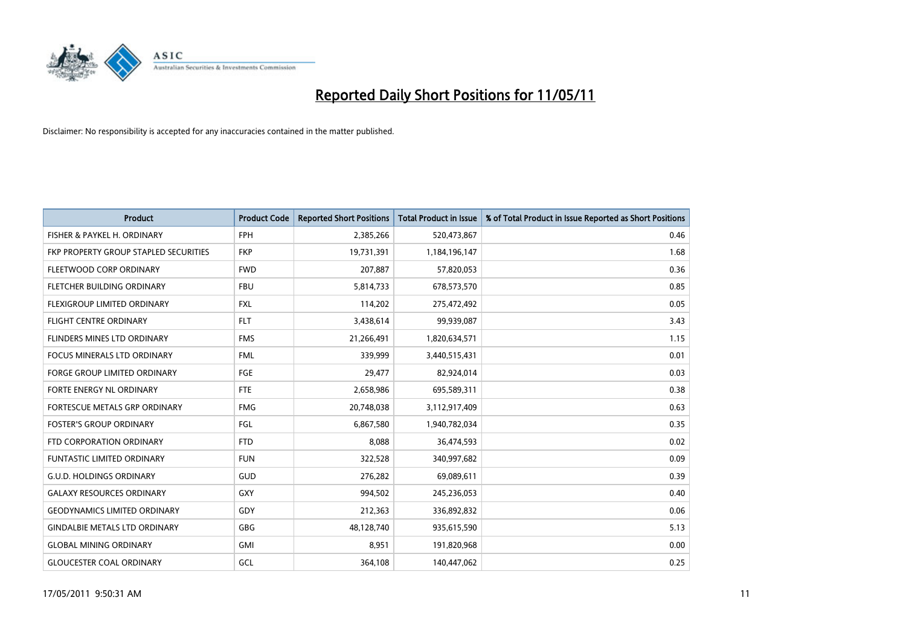

| <b>Product</b>                        | <b>Product Code</b> | <b>Reported Short Positions</b> | Total Product in Issue | % of Total Product in Issue Reported as Short Positions |
|---------------------------------------|---------------------|---------------------------------|------------------------|---------------------------------------------------------|
| FISHER & PAYKEL H. ORDINARY           | <b>FPH</b>          | 2,385,266                       | 520,473,867            | 0.46                                                    |
| FKP PROPERTY GROUP STAPLED SECURITIES | <b>FKP</b>          | 19,731,391                      | 1,184,196,147          | 1.68                                                    |
| FLEETWOOD CORP ORDINARY               | <b>FWD</b>          | 207,887                         | 57,820,053             | 0.36                                                    |
| FLETCHER BUILDING ORDINARY            | <b>FBU</b>          | 5,814,733                       | 678,573,570            | 0.85                                                    |
| FLEXIGROUP LIMITED ORDINARY           | <b>FXL</b>          | 114,202                         | 275,472,492            | 0.05                                                    |
| <b>FLIGHT CENTRE ORDINARY</b>         | <b>FLT</b>          | 3,438,614                       | 99,939,087             | 3.43                                                    |
| FLINDERS MINES LTD ORDINARY           | <b>FMS</b>          | 21,266,491                      | 1,820,634,571          | 1.15                                                    |
| <b>FOCUS MINERALS LTD ORDINARY</b>    | <b>FML</b>          | 339,999                         | 3,440,515,431          | 0.01                                                    |
| FORGE GROUP LIMITED ORDINARY          | FGE                 | 29,477                          | 82,924,014             | 0.03                                                    |
| FORTE ENERGY NL ORDINARY              | <b>FTE</b>          | 2,658,986                       | 695,589,311            | 0.38                                                    |
| FORTESCUE METALS GRP ORDINARY         | <b>FMG</b>          | 20,748,038                      | 3,112,917,409          | 0.63                                                    |
| <b>FOSTER'S GROUP ORDINARY</b>        | FGL                 | 6,867,580                       | 1,940,782,034          | 0.35                                                    |
| FTD CORPORATION ORDINARY              | <b>FTD</b>          | 8,088                           | 36,474,593             | 0.02                                                    |
| <b>FUNTASTIC LIMITED ORDINARY</b>     | <b>FUN</b>          | 322,528                         | 340,997,682            | 0.09                                                    |
| <b>G.U.D. HOLDINGS ORDINARY</b>       | <b>GUD</b>          | 276,282                         | 69,089,611             | 0.39                                                    |
| <b>GALAXY RESOURCES ORDINARY</b>      | GXY                 | 994,502                         | 245,236,053            | 0.40                                                    |
| <b>GEODYNAMICS LIMITED ORDINARY</b>   | GDY                 | 212,363                         | 336,892,832            | 0.06                                                    |
| <b>GINDALBIE METALS LTD ORDINARY</b>  | <b>GBG</b>          | 48,128,740                      | 935,615,590            | 5.13                                                    |
| <b>GLOBAL MINING ORDINARY</b>         | <b>GMI</b>          | 8,951                           | 191,820,968            | 0.00                                                    |
| <b>GLOUCESTER COAL ORDINARY</b>       | GCL                 | 364,108                         | 140,447,062            | 0.25                                                    |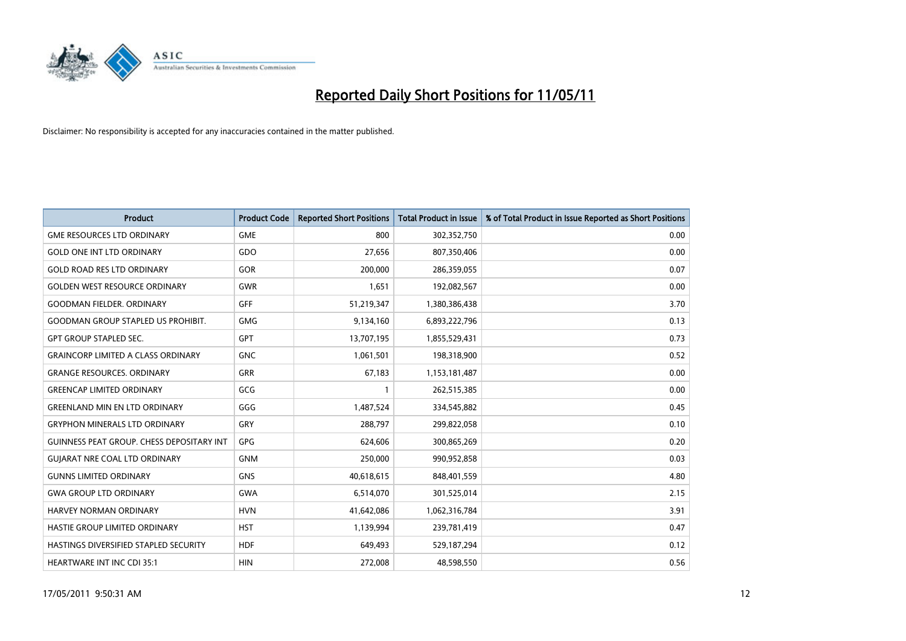

| <b>Product</b>                                   | <b>Product Code</b> | <b>Reported Short Positions</b> | <b>Total Product in Issue</b> | % of Total Product in Issue Reported as Short Positions |
|--------------------------------------------------|---------------------|---------------------------------|-------------------------------|---------------------------------------------------------|
| <b>GME RESOURCES LTD ORDINARY</b>                | <b>GME</b>          | 800                             | 302,352,750                   | 0.00                                                    |
| <b>GOLD ONE INT LTD ORDINARY</b>                 | GDO                 | 27,656                          | 807,350,406                   | 0.00                                                    |
| <b>GOLD ROAD RES LTD ORDINARY</b>                | GOR                 | 200,000                         | 286,359,055                   | 0.07                                                    |
| <b>GOLDEN WEST RESOURCE ORDINARY</b>             | <b>GWR</b>          | 1,651                           | 192,082,567                   | 0.00                                                    |
| <b>GOODMAN FIELDER, ORDINARY</b>                 | <b>GFF</b>          | 51,219,347                      | 1,380,386,438                 | 3.70                                                    |
| <b>GOODMAN GROUP STAPLED US PROHIBIT.</b>        | <b>GMG</b>          | 9,134,160                       | 6,893,222,796                 | 0.13                                                    |
| <b>GPT GROUP STAPLED SEC.</b>                    | <b>GPT</b>          | 13,707,195                      | 1,855,529,431                 | 0.73                                                    |
| <b>GRAINCORP LIMITED A CLASS ORDINARY</b>        | <b>GNC</b>          | 1,061,501                       | 198,318,900                   | 0.52                                                    |
| <b>GRANGE RESOURCES, ORDINARY</b>                | <b>GRR</b>          | 67,183                          | 1,153,181,487                 | 0.00                                                    |
| <b>GREENCAP LIMITED ORDINARY</b>                 | GCG                 |                                 | 262,515,385                   | 0.00                                                    |
| <b>GREENLAND MIN EN LTD ORDINARY</b>             | GGG                 | 1,487,524                       | 334,545,882                   | 0.45                                                    |
| <b>GRYPHON MINERALS LTD ORDINARY</b>             | GRY                 | 288,797                         | 299,822,058                   | 0.10                                                    |
| <b>GUINNESS PEAT GROUP. CHESS DEPOSITARY INT</b> | GPG                 | 624,606                         | 300,865,269                   | 0.20                                                    |
| <b>GUIARAT NRE COAL LTD ORDINARY</b>             | <b>GNM</b>          | 250,000                         | 990,952,858                   | 0.03                                                    |
| <b>GUNNS LIMITED ORDINARY</b>                    | <b>GNS</b>          | 40,618,615                      | 848,401,559                   | 4.80                                                    |
| <b>GWA GROUP LTD ORDINARY</b>                    | <b>GWA</b>          | 6,514,070                       | 301,525,014                   | 2.15                                                    |
| HARVEY NORMAN ORDINARY                           | <b>HVN</b>          | 41,642,086                      | 1,062,316,784                 | 3.91                                                    |
| <b>HASTIE GROUP LIMITED ORDINARY</b>             | <b>HST</b>          | 1,139,994                       | 239,781,419                   | 0.47                                                    |
| HASTINGS DIVERSIFIED STAPLED SECURITY            | <b>HDF</b>          | 649,493                         | 529,187,294                   | 0.12                                                    |
| <b>HEARTWARE INT INC CDI 35:1</b>                | <b>HIN</b>          | 272,008                         | 48,598,550                    | 0.56                                                    |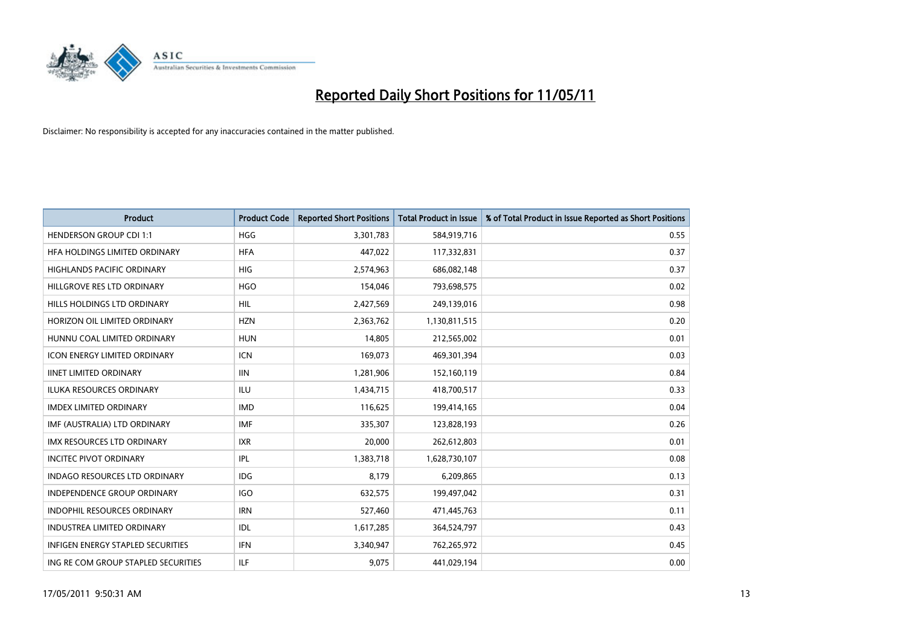

| <b>Product</b>                           | <b>Product Code</b> | <b>Reported Short Positions</b> | Total Product in Issue | % of Total Product in Issue Reported as Short Positions |
|------------------------------------------|---------------------|---------------------------------|------------------------|---------------------------------------------------------|
| <b>HENDERSON GROUP CDI 1:1</b>           | <b>HGG</b>          | 3,301,783                       | 584,919,716            | 0.55                                                    |
| HFA HOLDINGS LIMITED ORDINARY            | <b>HFA</b>          | 447,022                         | 117,332,831            | 0.37                                                    |
| <b>HIGHLANDS PACIFIC ORDINARY</b>        | <b>HIG</b>          | 2,574,963                       | 686,082,148            | 0.37                                                    |
| HILLGROVE RES LTD ORDINARY               | <b>HGO</b>          | 154,046                         | 793,698,575            | 0.02                                                    |
| HILLS HOLDINGS LTD ORDINARY              | <b>HIL</b>          | 2,427,569                       | 249,139,016            | 0.98                                                    |
| HORIZON OIL LIMITED ORDINARY             | <b>HZN</b>          | 2,363,762                       | 1,130,811,515          | 0.20                                                    |
| HUNNU COAL LIMITED ORDINARY              | <b>HUN</b>          | 14,805                          | 212,565,002            | 0.01                                                    |
| <b>ICON ENERGY LIMITED ORDINARY</b>      | <b>ICN</b>          | 169,073                         | 469,301,394            | 0.03                                                    |
| <b>IINET LIMITED ORDINARY</b>            | <b>IIN</b>          | 1,281,906                       | 152,160,119            | 0.84                                                    |
| <b>ILUKA RESOURCES ORDINARY</b>          | <b>ILU</b>          | 1,434,715                       | 418,700,517            | 0.33                                                    |
| <b>IMDEX LIMITED ORDINARY</b>            | <b>IMD</b>          | 116,625                         | 199,414,165            | 0.04                                                    |
| IMF (AUSTRALIA) LTD ORDINARY             | <b>IMF</b>          | 335,307                         | 123,828,193            | 0.26                                                    |
| <b>IMX RESOURCES LTD ORDINARY</b>        | <b>IXR</b>          | 20,000                          | 262,612,803            | 0.01                                                    |
| <b>INCITEC PIVOT ORDINARY</b>            | <b>IPL</b>          | 1,383,718                       | 1,628,730,107          | 0.08                                                    |
| INDAGO RESOURCES LTD ORDINARY            | <b>IDG</b>          | 8,179                           | 6,209,865              | 0.13                                                    |
| <b>INDEPENDENCE GROUP ORDINARY</b>       | <b>IGO</b>          | 632,575                         | 199,497,042            | 0.31                                                    |
| <b>INDOPHIL RESOURCES ORDINARY</b>       | <b>IRN</b>          | 527,460                         | 471,445,763            | 0.11                                                    |
| INDUSTREA LIMITED ORDINARY               | IDL                 | 1,617,285                       | 364,524,797            | 0.43                                                    |
| <b>INFIGEN ENERGY STAPLED SECURITIES</b> | <b>IFN</b>          | 3,340,947                       | 762,265,972            | 0.45                                                    |
| ING RE COM GROUP STAPLED SECURITIES      | <b>ILF</b>          | 9.075                           | 441,029,194            | 0.00                                                    |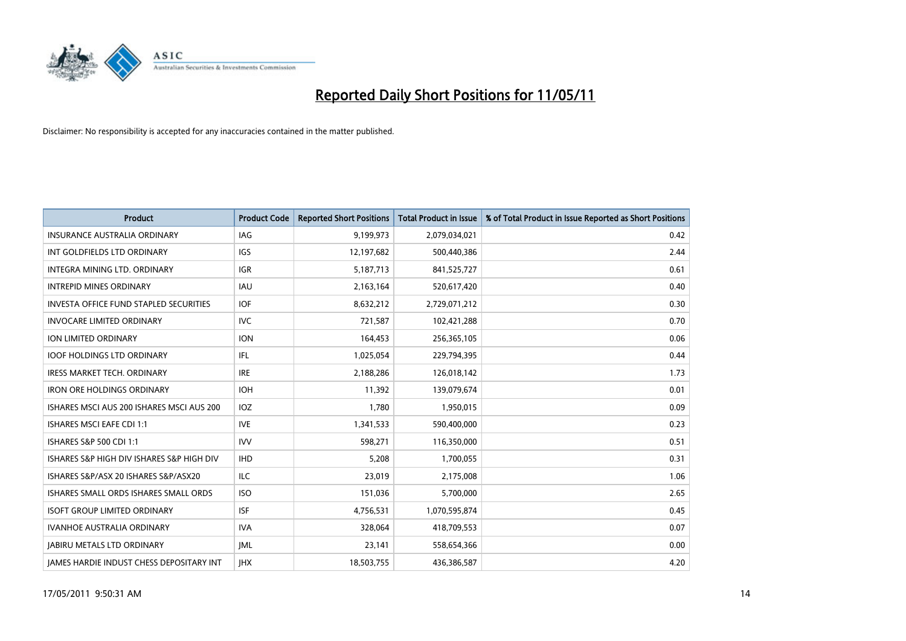

| <b>Product</b>                                  | <b>Product Code</b> | <b>Reported Short Positions</b> | Total Product in Issue | % of Total Product in Issue Reported as Short Positions |
|-------------------------------------------------|---------------------|---------------------------------|------------------------|---------------------------------------------------------|
| <b>INSURANCE AUSTRALIA ORDINARY</b>             | <b>IAG</b>          | 9,199,973                       | 2,079,034,021          | 0.42                                                    |
| INT GOLDFIELDS LTD ORDINARY                     | <b>IGS</b>          | 12,197,682                      | 500,440,386            | 2.44                                                    |
| INTEGRA MINING LTD. ORDINARY                    | <b>IGR</b>          | 5,187,713                       | 841,525,727            | 0.61                                                    |
| <b>INTREPID MINES ORDINARY</b>                  | <b>IAU</b>          | 2,163,164                       | 520,617,420            | 0.40                                                    |
| <b>INVESTA OFFICE FUND STAPLED SECURITIES</b>   | <b>IOF</b>          | 8,632,212                       | 2,729,071,212          | 0.30                                                    |
| <b>INVOCARE LIMITED ORDINARY</b>                | <b>IVC</b>          | 721,587                         | 102,421,288            | 0.70                                                    |
| ION LIMITED ORDINARY                            | <b>ION</b>          | 164,453                         | 256,365,105            | 0.06                                                    |
| <b>IOOF HOLDINGS LTD ORDINARY</b>               | <b>IFL</b>          | 1,025,054                       | 229,794,395            | 0.44                                                    |
| <b>IRESS MARKET TECH. ORDINARY</b>              | <b>IRE</b>          | 2,188,286                       | 126,018,142            | 1.73                                                    |
| <b>IRON ORE HOLDINGS ORDINARY</b>               | <b>IOH</b>          | 11,392                          | 139,079,674            | 0.01                                                    |
| ISHARES MSCI AUS 200 ISHARES MSCI AUS 200       | <b>IOZ</b>          | 1,780                           | 1,950,015              | 0.09                                                    |
| <b>ISHARES MSCI EAFE CDI 1:1</b>                | <b>IVE</b>          | 1,341,533                       | 590,400,000            | 0.23                                                    |
| ISHARES S&P 500 CDI 1:1                         | <b>IVV</b>          | 598,271                         | 116,350,000            | 0.51                                                    |
| ISHARES S&P HIGH DIV ISHARES S&P HIGH DIV       | <b>IHD</b>          | 5,208                           | 1,700,055              | 0.31                                                    |
| ISHARES S&P/ASX 20 ISHARES S&P/ASX20            | <b>ILC</b>          | 23,019                          | 2,175,008              | 1.06                                                    |
| ISHARES SMALL ORDS ISHARES SMALL ORDS           | <b>ISO</b>          | 151,036                         | 5,700,000              | 2.65                                                    |
| <b>ISOFT GROUP LIMITED ORDINARY</b>             | <b>ISF</b>          | 4,756,531                       | 1,070,595,874          | 0.45                                                    |
| IVANHOE AUSTRALIA ORDINARY                      | <b>IVA</b>          | 328,064                         | 418,709,553            | 0.07                                                    |
| <b>IABIRU METALS LTD ORDINARY</b>               | <b>JML</b>          | 23,141                          | 558,654,366            | 0.00                                                    |
| <b>IAMES HARDIE INDUST CHESS DEPOSITARY INT</b> | <b>IHX</b>          | 18,503,755                      | 436,386,587            | 4.20                                                    |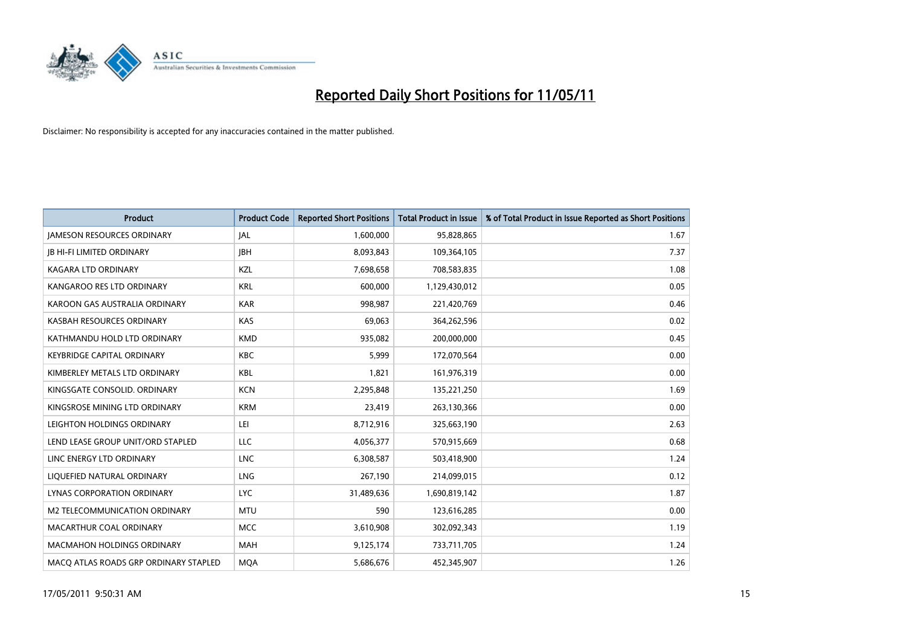

| <b>Product</b>                        | <b>Product Code</b> | <b>Reported Short Positions</b> | <b>Total Product in Issue</b> | % of Total Product in Issue Reported as Short Positions |
|---------------------------------------|---------------------|---------------------------------|-------------------------------|---------------------------------------------------------|
| <b>JAMESON RESOURCES ORDINARY</b>     | <b>JAL</b>          | 1,600,000                       | 95,828,865                    | 1.67                                                    |
| <b>IB HI-FI LIMITED ORDINARY</b>      | <b>IBH</b>          | 8,093,843                       | 109,364,105                   | 7.37                                                    |
| <b>KAGARA LTD ORDINARY</b>            | KZL                 | 7,698,658                       | 708,583,835                   | 1.08                                                    |
| KANGAROO RES LTD ORDINARY             | <b>KRL</b>          | 600,000                         | 1,129,430,012                 | 0.05                                                    |
| KAROON GAS AUSTRALIA ORDINARY         | <b>KAR</b>          | 998,987                         | 221,420,769                   | 0.46                                                    |
| KASBAH RESOURCES ORDINARY             | <b>KAS</b>          | 69,063                          | 364,262,596                   | 0.02                                                    |
| KATHMANDU HOLD LTD ORDINARY           | <b>KMD</b>          | 935,082                         | 200,000,000                   | 0.45                                                    |
| <b>KEYBRIDGE CAPITAL ORDINARY</b>     | <b>KBC</b>          | 5,999                           | 172,070,564                   | 0.00                                                    |
| KIMBERLEY METALS LTD ORDINARY         | <b>KBL</b>          | 1,821                           | 161,976,319                   | 0.00                                                    |
| KINGSGATE CONSOLID, ORDINARY          | <b>KCN</b>          | 2,295,848                       | 135,221,250                   | 1.69                                                    |
| KINGSROSE MINING LTD ORDINARY         | <b>KRM</b>          | 23,419                          | 263,130,366                   | 0.00                                                    |
| LEIGHTON HOLDINGS ORDINARY            | LEI                 | 8,712,916                       | 325,663,190                   | 2.63                                                    |
| LEND LEASE GROUP UNIT/ORD STAPLED     | LLC                 | 4,056,377                       | 570,915,669                   | 0.68                                                    |
| LINC ENERGY LTD ORDINARY              | <b>LNC</b>          | 6,308,587                       | 503,418,900                   | 1.24                                                    |
| LIQUEFIED NATURAL ORDINARY            | <b>LNG</b>          | 267.190                         | 214,099,015                   | 0.12                                                    |
| LYNAS CORPORATION ORDINARY            | <b>LYC</b>          | 31,489,636                      | 1,690,819,142                 | 1.87                                                    |
| M2 TELECOMMUNICATION ORDINARY         | <b>MTU</b>          | 590                             | 123,616,285                   | 0.00                                                    |
| MACARTHUR COAL ORDINARY               | <b>MCC</b>          | 3,610,908                       | 302,092,343                   | 1.19                                                    |
| <b>MACMAHON HOLDINGS ORDINARY</b>     | <b>MAH</b>          | 9,125,174                       | 733,711,705                   | 1.24                                                    |
| MACO ATLAS ROADS GRP ORDINARY STAPLED | <b>MOA</b>          | 5,686,676                       | 452,345,907                   | 1.26                                                    |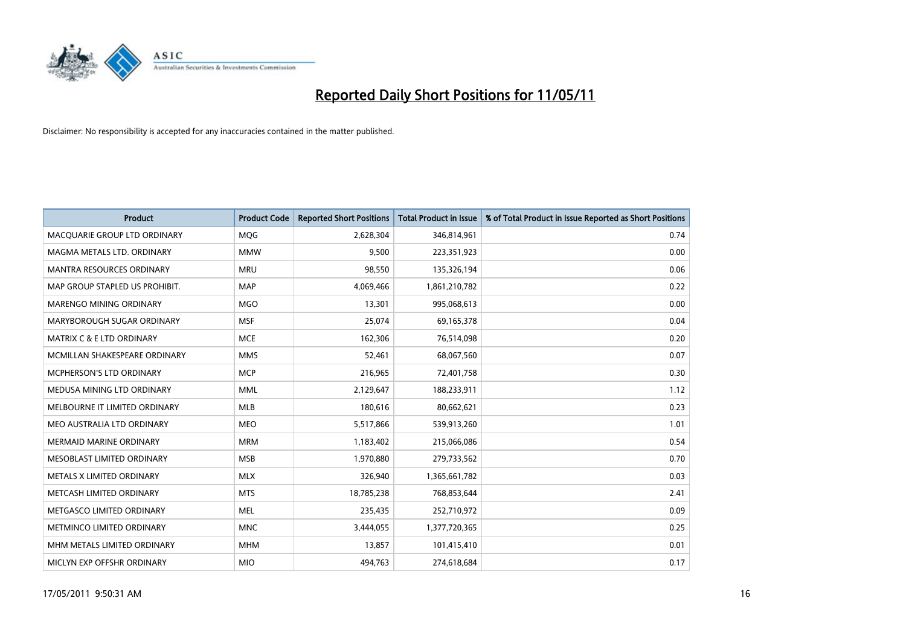

| <b>Product</b>                       | <b>Product Code</b> | <b>Reported Short Positions</b> | <b>Total Product in Issue</b> | % of Total Product in Issue Reported as Short Positions |
|--------------------------------------|---------------------|---------------------------------|-------------------------------|---------------------------------------------------------|
| MACQUARIE GROUP LTD ORDINARY         | <b>MQG</b>          | 2,628,304                       | 346,814,961                   | 0.74                                                    |
| MAGMA METALS LTD. ORDINARY           | <b>MMW</b>          | 9,500                           | 223,351,923                   | 0.00                                                    |
| <b>MANTRA RESOURCES ORDINARY</b>     | <b>MRU</b>          | 98.550                          | 135,326,194                   | 0.06                                                    |
| MAP GROUP STAPLED US PROHIBIT.       | <b>MAP</b>          | 4,069,466                       | 1,861,210,782                 | 0.22                                                    |
| <b>MARENGO MINING ORDINARY</b>       | <b>MGO</b>          | 13,301                          | 995,068,613                   | 0.00                                                    |
| MARYBOROUGH SUGAR ORDINARY           | <b>MSF</b>          | 25,074                          | 69,165,378                    | 0.04                                                    |
| <b>MATRIX C &amp; E LTD ORDINARY</b> | <b>MCE</b>          | 162,306                         | 76,514,098                    | 0.20                                                    |
| MCMILLAN SHAKESPEARE ORDINARY        | <b>MMS</b>          | 52,461                          | 68,067,560                    | 0.07                                                    |
| <b>MCPHERSON'S LTD ORDINARY</b>      | <b>MCP</b>          | 216,965                         | 72,401,758                    | 0.30                                                    |
| MEDUSA MINING LTD ORDINARY           | <b>MML</b>          | 2,129,647                       | 188,233,911                   | 1.12                                                    |
| MELBOURNE IT LIMITED ORDINARY        | <b>MLB</b>          | 180,616                         | 80,662,621                    | 0.23                                                    |
| MEO AUSTRALIA LTD ORDINARY           | <b>MEO</b>          | 5,517,866                       | 539,913,260                   | 1.01                                                    |
| MERMAID MARINE ORDINARY              | <b>MRM</b>          | 1,183,402                       | 215,066,086                   | 0.54                                                    |
| MESOBLAST LIMITED ORDINARY           | <b>MSB</b>          | 1,970,880                       | 279,733,562                   | 0.70                                                    |
| METALS X LIMITED ORDINARY            | <b>MLX</b>          | 326,940                         | 1,365,661,782                 | 0.03                                                    |
| METCASH LIMITED ORDINARY             | <b>MTS</b>          | 18,785,238                      | 768,853,644                   | 2.41                                                    |
| METGASCO LIMITED ORDINARY            | <b>MEL</b>          | 235,435                         | 252,710,972                   | 0.09                                                    |
| METMINCO LIMITED ORDINARY            | <b>MNC</b>          | 3,444,055                       | 1,377,720,365                 | 0.25                                                    |
| MHM METALS LIMITED ORDINARY          | <b>MHM</b>          | 13,857                          | 101,415,410                   | 0.01                                                    |
| MICLYN EXP OFFSHR ORDINARY           | <b>MIO</b>          | 494,763                         | 274,618,684                   | 0.17                                                    |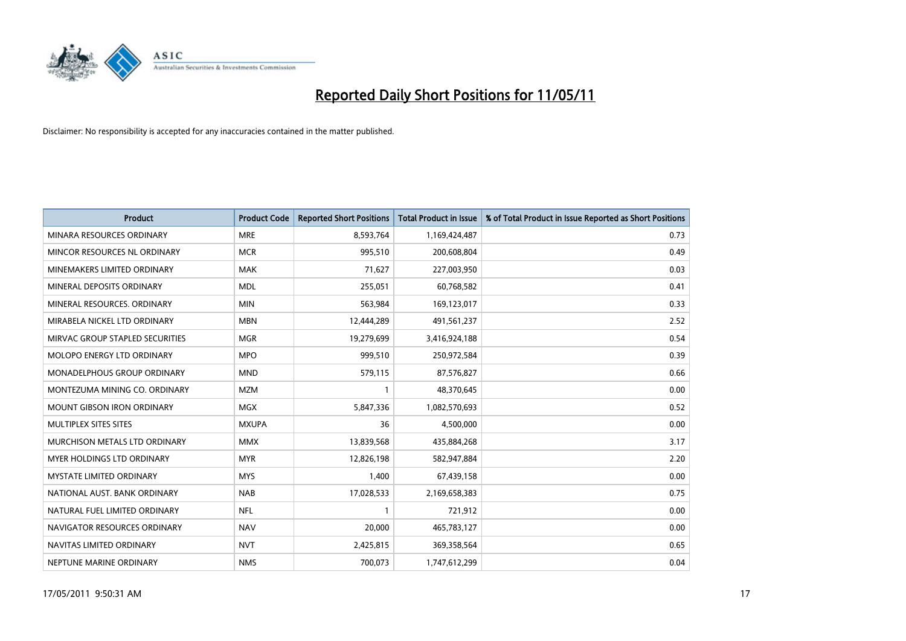

| <b>Product</b>                    | <b>Product Code</b> | <b>Reported Short Positions</b> | Total Product in Issue | % of Total Product in Issue Reported as Short Positions |
|-----------------------------------|---------------------|---------------------------------|------------------------|---------------------------------------------------------|
| MINARA RESOURCES ORDINARY         | <b>MRE</b>          | 8,593,764                       | 1,169,424,487          | 0.73                                                    |
| MINCOR RESOURCES NL ORDINARY      | <b>MCR</b>          | 995,510                         | 200,608,804            | 0.49                                                    |
| MINEMAKERS LIMITED ORDINARY       | <b>MAK</b>          | 71,627                          | 227,003,950            | 0.03                                                    |
| MINERAL DEPOSITS ORDINARY         | <b>MDL</b>          | 255,051                         | 60,768,582             | 0.41                                                    |
| MINERAL RESOURCES, ORDINARY       | <b>MIN</b>          | 563,984                         | 169,123,017            | 0.33                                                    |
| MIRABELA NICKEL LTD ORDINARY      | <b>MBN</b>          | 12,444,289                      | 491,561,237            | 2.52                                                    |
| MIRVAC GROUP STAPLED SECURITIES   | <b>MGR</b>          | 19,279,699                      | 3,416,924,188          | 0.54                                                    |
| MOLOPO ENERGY LTD ORDINARY        | <b>MPO</b>          | 999,510                         | 250,972,584            | 0.39                                                    |
| MONADELPHOUS GROUP ORDINARY       | <b>MND</b>          | 579,115                         | 87,576,827             | 0.66                                                    |
| MONTEZUMA MINING CO. ORDINARY     | <b>MZM</b>          |                                 | 48,370,645             | 0.00                                                    |
| MOUNT GIBSON IRON ORDINARY        | <b>MGX</b>          | 5,847,336                       | 1,082,570,693          | 0.52                                                    |
| MULTIPLEX SITES SITES             | <b>MXUPA</b>        | 36                              | 4,500,000              | 0.00                                                    |
| MURCHISON METALS LTD ORDINARY     | <b>MMX</b>          | 13,839,568                      | 435,884,268            | 3.17                                                    |
| <b>MYER HOLDINGS LTD ORDINARY</b> | <b>MYR</b>          | 12,826,198                      | 582,947,884            | 2.20                                                    |
| <b>MYSTATE LIMITED ORDINARY</b>   | <b>MYS</b>          | 1,400                           | 67,439,158             | 0.00                                                    |
| NATIONAL AUST. BANK ORDINARY      | <b>NAB</b>          | 17,028,533                      | 2,169,658,383          | 0.75                                                    |
| NATURAL FUEL LIMITED ORDINARY     | <b>NFL</b>          |                                 | 721,912                | 0.00                                                    |
| NAVIGATOR RESOURCES ORDINARY      | <b>NAV</b>          | 20,000                          | 465,783,127            | 0.00                                                    |
| NAVITAS LIMITED ORDINARY          | <b>NVT</b>          | 2,425,815                       | 369,358,564            | 0.65                                                    |
| NEPTUNE MARINE ORDINARY           | <b>NMS</b>          | 700,073                         | 1,747,612,299          | 0.04                                                    |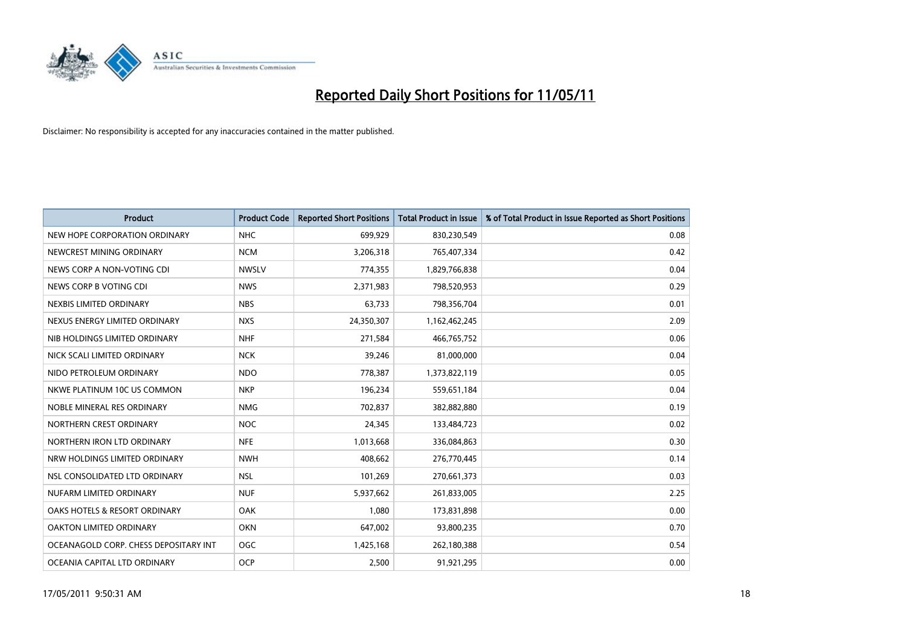

| <b>Product</b>                        | <b>Product Code</b> | <b>Reported Short Positions</b> | <b>Total Product in Issue</b> | % of Total Product in Issue Reported as Short Positions |
|---------------------------------------|---------------------|---------------------------------|-------------------------------|---------------------------------------------------------|
| NEW HOPE CORPORATION ORDINARY         | <b>NHC</b>          | 699,929                         | 830,230,549                   | 0.08                                                    |
| NEWCREST MINING ORDINARY              | <b>NCM</b>          | 3,206,318                       | 765,407,334                   | 0.42                                                    |
| NEWS CORP A NON-VOTING CDI            | <b>NWSLV</b>        | 774,355                         | 1,829,766,838                 | 0.04                                                    |
| NEWS CORP B VOTING CDI                | <b>NWS</b>          | 2,371,983                       | 798,520,953                   | 0.29                                                    |
| NEXBIS LIMITED ORDINARY               | <b>NBS</b>          | 63,733                          | 798,356,704                   | 0.01                                                    |
| NEXUS ENERGY LIMITED ORDINARY         | <b>NXS</b>          | 24,350,307                      | 1,162,462,245                 | 2.09                                                    |
| NIB HOLDINGS LIMITED ORDINARY         | <b>NHF</b>          | 271,584                         | 466,765,752                   | 0.06                                                    |
| NICK SCALI LIMITED ORDINARY           | <b>NCK</b>          | 39,246                          | 81,000,000                    | 0.04                                                    |
| NIDO PETROLEUM ORDINARY               | <b>NDO</b>          | 778,387                         | 1,373,822,119                 | 0.05                                                    |
| NKWE PLATINUM 10C US COMMON           | <b>NKP</b>          | 196,234                         | 559,651,184                   | 0.04                                                    |
| NOBLE MINERAL RES ORDINARY            | <b>NMG</b>          | 702,837                         | 382,882,880                   | 0.19                                                    |
| NORTHERN CREST ORDINARY               | <b>NOC</b>          | 24,345                          | 133,484,723                   | 0.02                                                    |
| NORTHERN IRON LTD ORDINARY            | <b>NFE</b>          | 1,013,668                       | 336,084,863                   | 0.30                                                    |
| NRW HOLDINGS LIMITED ORDINARY         | <b>NWH</b>          | 408,662                         | 276,770,445                   | 0.14                                                    |
| NSL CONSOLIDATED LTD ORDINARY         | <b>NSL</b>          | 101,269                         | 270,661,373                   | 0.03                                                    |
| NUFARM LIMITED ORDINARY               | <b>NUF</b>          | 5,937,662                       | 261,833,005                   | 2.25                                                    |
| OAKS HOTELS & RESORT ORDINARY         | <b>OAK</b>          | 1,080                           | 173,831,898                   | 0.00                                                    |
| OAKTON LIMITED ORDINARY               | <b>OKN</b>          | 647,002                         | 93,800,235                    | 0.70                                                    |
| OCEANAGOLD CORP. CHESS DEPOSITARY INT | <b>OGC</b>          | 1,425,168                       | 262,180,388                   | 0.54                                                    |
| OCEANIA CAPITAL LTD ORDINARY          | <b>OCP</b>          | 2,500                           | 91,921,295                    | 0.00                                                    |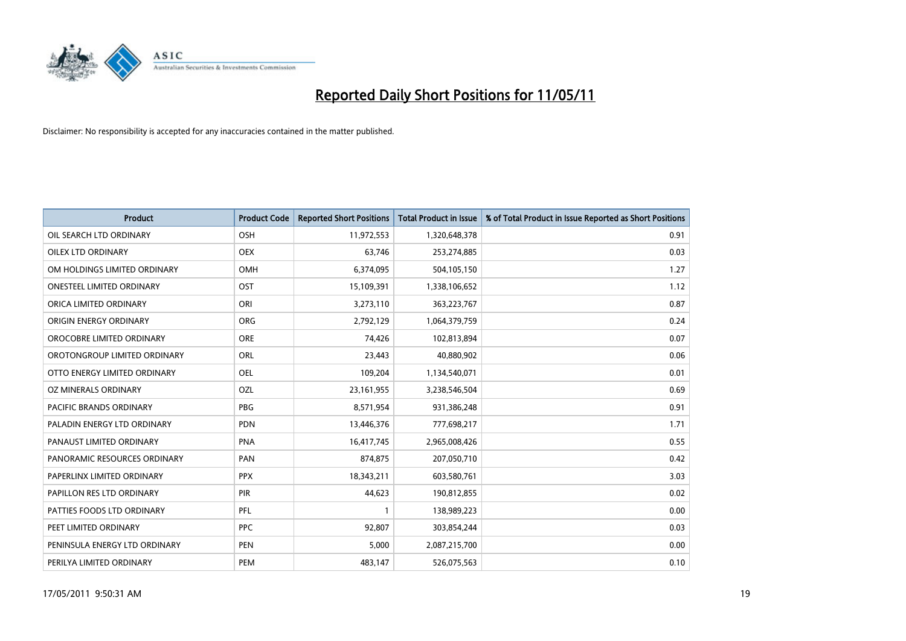

| <b>Product</b>                 | <b>Product Code</b> | <b>Reported Short Positions</b> | <b>Total Product in Issue</b> | % of Total Product in Issue Reported as Short Positions |
|--------------------------------|---------------------|---------------------------------|-------------------------------|---------------------------------------------------------|
| OIL SEARCH LTD ORDINARY        | <b>OSH</b>          | 11,972,553                      | 1,320,648,378                 | 0.91                                                    |
| <b>OILEX LTD ORDINARY</b>      | <b>OEX</b>          | 63.746                          | 253,274,885                   | 0.03                                                    |
| OM HOLDINGS LIMITED ORDINARY   | <b>OMH</b>          | 6,374,095                       | 504,105,150                   | 1.27                                                    |
| ONESTEEL LIMITED ORDINARY      | OST                 | 15,109,391                      | 1,338,106,652                 | 1.12                                                    |
| ORICA LIMITED ORDINARY         | ORI                 | 3,273,110                       | 363,223,767                   | 0.87                                                    |
| ORIGIN ENERGY ORDINARY         | <b>ORG</b>          | 2,792,129                       | 1,064,379,759                 | 0.24                                                    |
| OROCOBRE LIMITED ORDINARY      | <b>ORE</b>          | 74,426                          | 102,813,894                   | 0.07                                                    |
| OROTONGROUP LIMITED ORDINARY   | <b>ORL</b>          | 23,443                          | 40,880,902                    | 0.06                                                    |
| OTTO ENERGY LIMITED ORDINARY   | <b>OEL</b>          | 109,204                         | 1,134,540,071                 | 0.01                                                    |
| OZ MINERALS ORDINARY           | OZL                 | 23, 161, 955                    | 3,238,546,504                 | 0.69                                                    |
| <b>PACIFIC BRANDS ORDINARY</b> | <b>PBG</b>          | 8,571,954                       | 931,386,248                   | 0.91                                                    |
| PALADIN ENERGY LTD ORDINARY    | <b>PDN</b>          | 13,446,376                      | 777,698,217                   | 1.71                                                    |
| PANAUST LIMITED ORDINARY       | <b>PNA</b>          | 16,417,745                      | 2,965,008,426                 | 0.55                                                    |
| PANORAMIC RESOURCES ORDINARY   | PAN                 | 874,875                         | 207,050,710                   | 0.42                                                    |
| PAPERLINX LIMITED ORDINARY     | <b>PPX</b>          | 18,343,211                      | 603,580,761                   | 3.03                                                    |
| PAPILLON RES LTD ORDINARY      | PIR                 | 44,623                          | 190,812,855                   | 0.02                                                    |
| PATTIES FOODS LTD ORDINARY     | PFL                 |                                 | 138,989,223                   | 0.00                                                    |
| PEET LIMITED ORDINARY          | <b>PPC</b>          | 92,807                          | 303,854,244                   | 0.03                                                    |
| PENINSULA ENERGY LTD ORDINARY  | <b>PEN</b>          | 5,000                           | 2,087,215,700                 | 0.00                                                    |
| PERILYA LIMITED ORDINARY       | PEM                 | 483.147                         | 526,075,563                   | 0.10                                                    |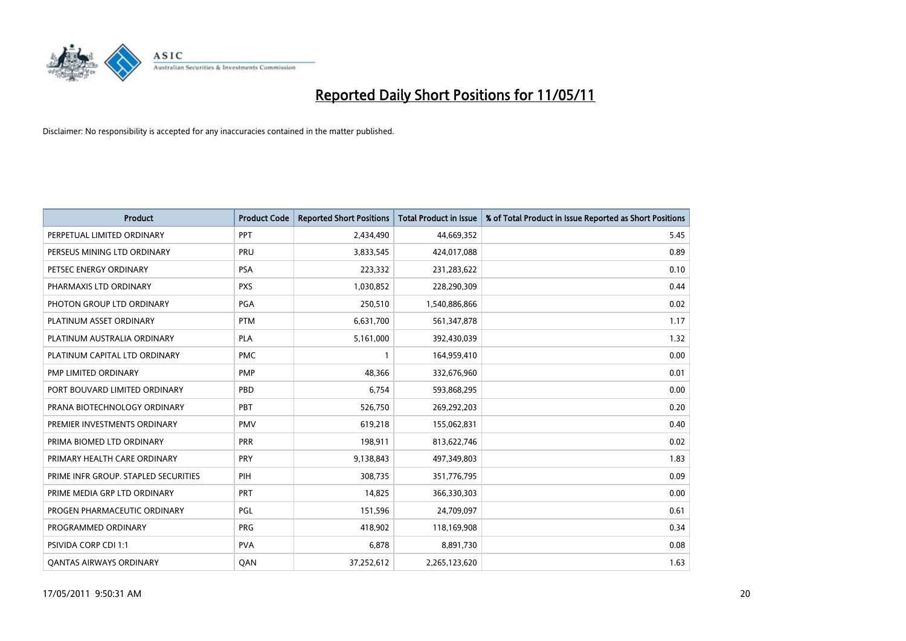

| <b>Product</b>                       | <b>Product Code</b> | <b>Reported Short Positions</b> | <b>Total Product in Issue</b> | % of Total Product in Issue Reported as Short Positions |
|--------------------------------------|---------------------|---------------------------------|-------------------------------|---------------------------------------------------------|
| PERPETUAL LIMITED ORDINARY           | PPT                 | 2,434,490                       | 44,669,352                    | 5.45                                                    |
| PERSEUS MINING LTD ORDINARY          | PRU                 | 3,833,545                       | 424,017,088                   | 0.89                                                    |
| PETSEC ENERGY ORDINARY               | <b>PSA</b>          | 223,332                         | 231,283,622                   | 0.10                                                    |
| PHARMAXIS LTD ORDINARY               | <b>PXS</b>          | 1,030,852                       | 228,290,309                   | 0.44                                                    |
| PHOTON GROUP LTD ORDINARY            | <b>PGA</b>          | 250,510                         | 1,540,886,866                 | 0.02                                                    |
| PLATINUM ASSET ORDINARY              | <b>PTM</b>          | 6,631,700                       | 561,347,878                   | 1.17                                                    |
| PLATINUM AUSTRALIA ORDINARY          | PLA                 | 5,161,000                       | 392,430,039                   | 1.32                                                    |
| PLATINUM CAPITAL LTD ORDINARY        | <b>PMC</b>          |                                 | 164,959,410                   | 0.00                                                    |
| PMP LIMITED ORDINARY                 | <b>PMP</b>          | 48,366                          | 332,676,960                   | 0.01                                                    |
| PORT BOUVARD LIMITED ORDINARY        | PBD                 | 6,754                           | 593,868,295                   | 0.00                                                    |
| PRANA BIOTECHNOLOGY ORDINARY         | PBT                 | 526,750                         | 269,292,203                   | 0.20                                                    |
| PREMIER INVESTMENTS ORDINARY         | <b>PMV</b>          | 619,218                         | 155,062,831                   | 0.40                                                    |
| PRIMA BIOMED LTD ORDINARY            | PRR                 | 198,911                         | 813,622,746                   | 0.02                                                    |
| PRIMARY HEALTH CARE ORDINARY         | PRY                 | 9,138,843                       | 497,349,803                   | 1.83                                                    |
| PRIME INFR GROUP. STAPLED SECURITIES | PIH                 | 308,735                         | 351,776,795                   | 0.09                                                    |
| PRIME MEDIA GRP LTD ORDINARY         | <b>PRT</b>          | 14,825                          | 366,330,303                   | 0.00                                                    |
| PROGEN PHARMACEUTIC ORDINARY         | PGL                 | 151,596                         | 24,709,097                    | 0.61                                                    |
| PROGRAMMED ORDINARY                  | <b>PRG</b>          | 418,902                         | 118,169,908                   | 0.34                                                    |
| PSIVIDA CORP CDI 1:1                 | <b>PVA</b>          | 6,878                           | 8,891,730                     | 0.08                                                    |
| <b>QANTAS AIRWAYS ORDINARY</b>       | QAN                 | 37,252,612                      | 2,265,123,620                 | 1.63                                                    |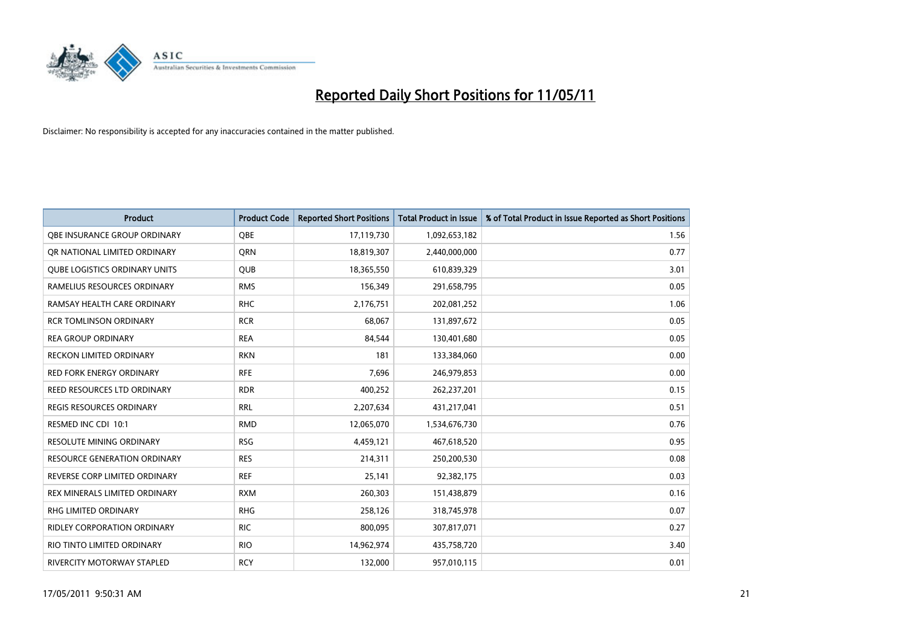

| <b>Product</b>                       | <b>Product Code</b> | <b>Reported Short Positions</b> | <b>Total Product in Issue</b> | % of Total Product in Issue Reported as Short Positions |
|--------------------------------------|---------------------|---------------------------------|-------------------------------|---------------------------------------------------------|
| OBE INSURANCE GROUP ORDINARY         | OBE                 | 17,119,730                      | 1,092,653,182                 | 1.56                                                    |
| OR NATIONAL LIMITED ORDINARY         | <b>ORN</b>          | 18,819,307                      | 2,440,000,000                 | 0.77                                                    |
| <b>QUBE LOGISTICS ORDINARY UNITS</b> | QUB                 | 18,365,550                      | 610,839,329                   | 3.01                                                    |
| RAMELIUS RESOURCES ORDINARY          | <b>RMS</b>          | 156,349                         | 291,658,795                   | 0.05                                                    |
| RAMSAY HEALTH CARE ORDINARY          | <b>RHC</b>          | 2,176,751                       | 202,081,252                   | 1.06                                                    |
| <b>RCR TOMLINSON ORDINARY</b>        | <b>RCR</b>          | 68,067                          | 131,897,672                   | 0.05                                                    |
| <b>REA GROUP ORDINARY</b>            | <b>REA</b>          | 84,544                          | 130,401,680                   | 0.05                                                    |
| RECKON LIMITED ORDINARY              | <b>RKN</b>          | 181                             | 133,384,060                   | 0.00                                                    |
| RED FORK ENERGY ORDINARY             | <b>RFE</b>          | 7,696                           | 246,979,853                   | 0.00                                                    |
| REED RESOURCES LTD ORDINARY          | <b>RDR</b>          | 400,252                         | 262,237,201                   | 0.15                                                    |
| <b>REGIS RESOURCES ORDINARY</b>      | <b>RRL</b>          | 2,207,634                       | 431,217,041                   | 0.51                                                    |
| RESMED INC CDI 10:1                  | <b>RMD</b>          | 12,065,070                      | 1,534,676,730                 | 0.76                                                    |
| <b>RESOLUTE MINING ORDINARY</b>      | <b>RSG</b>          | 4,459,121                       | 467,618,520                   | 0.95                                                    |
| <b>RESOURCE GENERATION ORDINARY</b>  | <b>RES</b>          | 214,311                         | 250,200,530                   | 0.08                                                    |
| REVERSE CORP LIMITED ORDINARY        | <b>REF</b>          | 25,141                          | 92,382,175                    | 0.03                                                    |
| REX MINERALS LIMITED ORDINARY        | <b>RXM</b>          | 260,303                         | 151,438,879                   | 0.16                                                    |
| <b>RHG LIMITED ORDINARY</b>          | <b>RHG</b>          | 258,126                         | 318,745,978                   | 0.07                                                    |
| RIDLEY CORPORATION ORDINARY          | <b>RIC</b>          | 800,095                         | 307,817,071                   | 0.27                                                    |
| RIO TINTO LIMITED ORDINARY           | <b>RIO</b>          | 14,962,974                      | 435,758,720                   | 3.40                                                    |
| RIVERCITY MOTORWAY STAPLED           | <b>RCY</b>          | 132,000                         | 957,010,115                   | 0.01                                                    |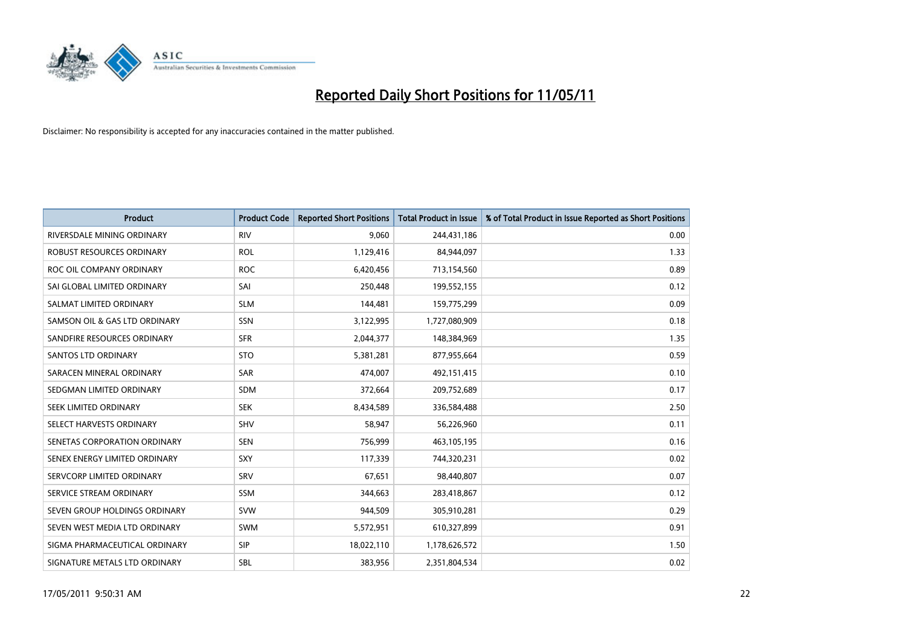

| <b>Product</b>                | <b>Product Code</b> | <b>Reported Short Positions</b> | Total Product in Issue | % of Total Product in Issue Reported as Short Positions |
|-------------------------------|---------------------|---------------------------------|------------------------|---------------------------------------------------------|
| RIVERSDALE MINING ORDINARY    | <b>RIV</b>          | 9,060                           | 244,431,186            | 0.00                                                    |
| ROBUST RESOURCES ORDINARY     | <b>ROL</b>          | 1,129,416                       | 84,944,097             | 1.33                                                    |
| ROC OIL COMPANY ORDINARY      | <b>ROC</b>          | 6,420,456                       | 713,154,560            | 0.89                                                    |
| SAI GLOBAL LIMITED ORDINARY   | SAI                 | 250,448                         | 199,552,155            | 0.12                                                    |
| SALMAT LIMITED ORDINARY       | <b>SLM</b>          | 144,481                         | 159,775,299            | 0.09                                                    |
| SAMSON OIL & GAS LTD ORDINARY | SSN                 | 3,122,995                       | 1,727,080,909          | 0.18                                                    |
| SANDFIRE RESOURCES ORDINARY   | <b>SFR</b>          | 2,044,377                       | 148,384,969            | 1.35                                                    |
| <b>SANTOS LTD ORDINARY</b>    | <b>STO</b>          | 5,381,281                       | 877,955,664            | 0.59                                                    |
| SARACEN MINERAL ORDINARY      | SAR                 | 474,007                         | 492,151,415            | 0.10                                                    |
| SEDGMAN LIMITED ORDINARY      | <b>SDM</b>          | 372,664                         | 209,752,689            | 0.17                                                    |
| SEEK LIMITED ORDINARY         | <b>SEK</b>          | 8,434,589                       | 336,584,488            | 2.50                                                    |
| SELECT HARVESTS ORDINARY      | <b>SHV</b>          | 58,947                          | 56,226,960             | 0.11                                                    |
| SENETAS CORPORATION ORDINARY  | <b>SEN</b>          | 756,999                         | 463,105,195            | 0.16                                                    |
| SENEX ENERGY LIMITED ORDINARY | SXY                 | 117,339                         | 744,320,231            | 0.02                                                    |
| SERVCORP LIMITED ORDINARY     | SRV                 | 67,651                          | 98,440,807             | 0.07                                                    |
| SERVICE STREAM ORDINARY       | <b>SSM</b>          | 344,663                         | 283,418,867            | 0.12                                                    |
| SEVEN GROUP HOLDINGS ORDINARY | <b>SVW</b>          | 944,509                         | 305,910,281            | 0.29                                                    |
| SEVEN WEST MEDIA LTD ORDINARY | <b>SWM</b>          | 5,572,951                       | 610,327,899            | 0.91                                                    |
| SIGMA PHARMACEUTICAL ORDINARY | SIP                 | 18,022,110                      | 1,178,626,572          | 1.50                                                    |
| SIGNATURE METALS LTD ORDINARY | <b>SBL</b>          | 383.956                         | 2,351,804,534          | 0.02                                                    |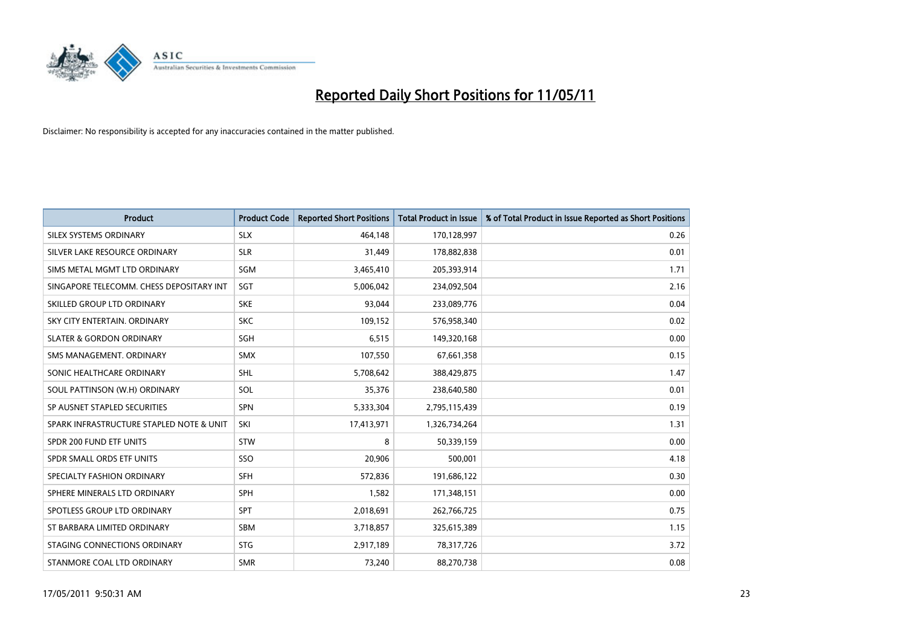

| <b>Product</b>                           | <b>Product Code</b> | <b>Reported Short Positions</b> | <b>Total Product in Issue</b> | % of Total Product in Issue Reported as Short Positions |
|------------------------------------------|---------------------|---------------------------------|-------------------------------|---------------------------------------------------------|
| SILEX SYSTEMS ORDINARY                   | <b>SLX</b>          | 464,148                         | 170,128,997                   | 0.26                                                    |
| SILVER LAKE RESOURCE ORDINARY            | <b>SLR</b>          | 31,449                          | 178,882,838                   | 0.01                                                    |
| SIMS METAL MGMT LTD ORDINARY             | SGM                 | 3,465,410                       | 205,393,914                   | 1.71                                                    |
| SINGAPORE TELECOMM. CHESS DEPOSITARY INT | SGT                 | 5,006,042                       | 234,092,504                   | 2.16                                                    |
| SKILLED GROUP LTD ORDINARY               | <b>SKE</b>          | 93,044                          | 233,089,776                   | 0.04                                                    |
| SKY CITY ENTERTAIN, ORDINARY             | <b>SKC</b>          | 109,152                         | 576,958,340                   | 0.02                                                    |
| <b>SLATER &amp; GORDON ORDINARY</b>      | SGH                 | 6,515                           | 149,320,168                   | 0.00                                                    |
| SMS MANAGEMENT. ORDINARY                 | <b>SMX</b>          | 107,550                         | 67,661,358                    | 0.15                                                    |
| SONIC HEALTHCARE ORDINARY                | <b>SHL</b>          | 5,708,642                       | 388,429,875                   | 1.47                                                    |
| SOUL PATTINSON (W.H) ORDINARY            | SOL                 | 35,376                          | 238,640,580                   | 0.01                                                    |
| SP AUSNET STAPLED SECURITIES             | SPN                 | 5,333,304                       | 2,795,115,439                 | 0.19                                                    |
| SPARK INFRASTRUCTURE STAPLED NOTE & UNIT | SKI                 | 17,413,971                      | 1,326,734,264                 | 1.31                                                    |
| SPDR 200 FUND ETF UNITS                  | <b>STW</b>          | 8                               | 50,339,159                    | 0.00                                                    |
| SPDR SMALL ORDS ETF UNITS                | SSO                 | 20,906                          | 500,001                       | 4.18                                                    |
| SPECIALTY FASHION ORDINARY               | <b>SFH</b>          | 572,836                         | 191,686,122                   | 0.30                                                    |
| SPHERE MINERALS LTD ORDINARY             | <b>SPH</b>          | 1,582                           | 171,348,151                   | 0.00                                                    |
| SPOTLESS GROUP LTD ORDINARY              | SPT                 | 2,018,691                       | 262,766,725                   | 0.75                                                    |
| ST BARBARA LIMITED ORDINARY              | <b>SBM</b>          | 3,718,857                       | 325,615,389                   | 1.15                                                    |
| STAGING CONNECTIONS ORDINARY             | <b>STG</b>          | 2,917,189                       | 78,317,726                    | 3.72                                                    |
| STANMORE COAL LTD ORDINARY               | <b>SMR</b>          | 73,240                          | 88,270,738                    | 0.08                                                    |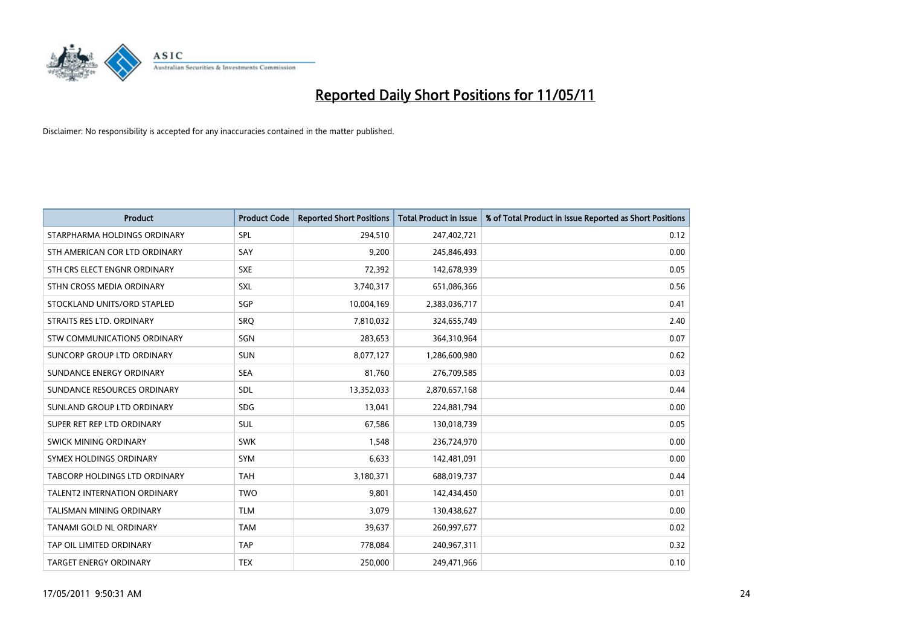

| <b>Product</b>                      | <b>Product Code</b> | <b>Reported Short Positions</b> | <b>Total Product in Issue</b> | % of Total Product in Issue Reported as Short Positions |
|-------------------------------------|---------------------|---------------------------------|-------------------------------|---------------------------------------------------------|
| STARPHARMA HOLDINGS ORDINARY        | SPL                 | 294,510                         | 247,402,721                   | 0.12                                                    |
| STH AMERICAN COR LTD ORDINARY       | SAY                 | 9,200                           | 245,846,493                   | 0.00                                                    |
| STH CRS ELECT ENGNR ORDINARY        | <b>SXE</b>          | 72,392                          | 142,678,939                   | 0.05                                                    |
| STHN CROSS MEDIA ORDINARY           | <b>SXL</b>          | 3,740,317                       | 651,086,366                   | 0.56                                                    |
| STOCKLAND UNITS/ORD STAPLED         | SGP                 | 10,004,169                      | 2,383,036,717                 | 0.41                                                    |
| STRAITS RES LTD. ORDINARY           | SRQ                 | 7,810,032                       | 324,655,749                   | 2.40                                                    |
| STW COMMUNICATIONS ORDINARY         | SGN                 | 283,653                         | 364,310,964                   | 0.07                                                    |
| SUNCORP GROUP LTD ORDINARY          | SUN                 | 8,077,127                       | 1,286,600,980                 | 0.62                                                    |
| SUNDANCE ENERGY ORDINARY            | <b>SEA</b>          | 81,760                          | 276,709,585                   | 0.03                                                    |
| SUNDANCE RESOURCES ORDINARY         | <b>SDL</b>          | 13,352,033                      | 2,870,657,168                 | 0.44                                                    |
| SUNLAND GROUP LTD ORDINARY          | <b>SDG</b>          | 13,041                          | 224,881,794                   | 0.00                                                    |
| SUPER RET REP LTD ORDINARY          | <b>SUL</b>          | 67,586                          | 130,018,739                   | 0.05                                                    |
| SWICK MINING ORDINARY               | <b>SWK</b>          | 1,548                           | 236,724,970                   | 0.00                                                    |
| SYMEX HOLDINGS ORDINARY             | SYM                 | 6,633                           | 142,481,091                   | 0.00                                                    |
| TABCORP HOLDINGS LTD ORDINARY       | <b>TAH</b>          | 3,180,371                       | 688,019,737                   | 0.44                                                    |
| <b>TALENT2 INTERNATION ORDINARY</b> | <b>TWO</b>          | 9,801                           | 142,434,450                   | 0.01                                                    |
| TALISMAN MINING ORDINARY            | <b>TLM</b>          | 3,079                           | 130,438,627                   | 0.00                                                    |
| TANAMI GOLD NL ORDINARY             | <b>TAM</b>          | 39,637                          | 260,997,677                   | 0.02                                                    |
| TAP OIL LIMITED ORDINARY            | <b>TAP</b>          | 778,084                         | 240,967,311                   | 0.32                                                    |
| TARGET ENERGY ORDINARY              | <b>TEX</b>          | 250,000                         | 249,471,966                   | 0.10                                                    |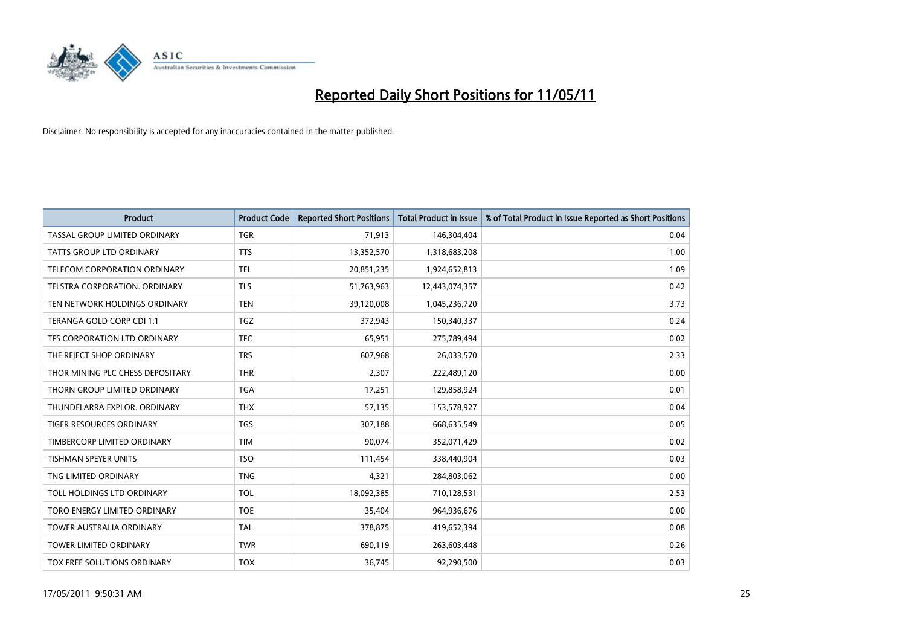

| <b>Product</b>                       | <b>Product Code</b> | <b>Reported Short Positions</b> | Total Product in Issue | % of Total Product in Issue Reported as Short Positions |
|--------------------------------------|---------------------|---------------------------------|------------------------|---------------------------------------------------------|
| <b>TASSAL GROUP LIMITED ORDINARY</b> | <b>TGR</b>          | 71,913                          | 146,304,404            | 0.04                                                    |
| <b>TATTS GROUP LTD ORDINARY</b>      | <b>TTS</b>          | 13,352,570                      | 1,318,683,208          | 1.00                                                    |
| TELECOM CORPORATION ORDINARY         | <b>TEL</b>          | 20,851,235                      | 1,924,652,813          | 1.09                                                    |
| TELSTRA CORPORATION. ORDINARY        | <b>TLS</b>          | 51,763,963                      | 12,443,074,357         | 0.42                                                    |
| TEN NETWORK HOLDINGS ORDINARY        | <b>TEN</b>          | 39,120,008                      | 1,045,236,720          | 3.73                                                    |
| TERANGA GOLD CORP CDI 1:1            | <b>TGZ</b>          | 372,943                         | 150,340,337            | 0.24                                                    |
| TFS CORPORATION LTD ORDINARY         | <b>TFC</b>          | 65,951                          | 275,789,494            | 0.02                                                    |
| THE REJECT SHOP ORDINARY             | <b>TRS</b>          | 607,968                         | 26,033,570             | 2.33                                                    |
| THOR MINING PLC CHESS DEPOSITARY     | <b>THR</b>          | 2,307                           | 222,489,120            | 0.00                                                    |
| THORN GROUP LIMITED ORDINARY         | <b>TGA</b>          | 17,251                          | 129,858,924            | 0.01                                                    |
| THUNDELARRA EXPLOR, ORDINARY         | <b>THX</b>          | 57,135                          | 153,578,927            | 0.04                                                    |
| <b>TIGER RESOURCES ORDINARY</b>      | <b>TGS</b>          | 307,188                         | 668,635,549            | 0.05                                                    |
| TIMBERCORP LIMITED ORDINARY          | <b>TIM</b>          | 90.074                          | 352,071,429            | 0.02                                                    |
| <b>TISHMAN SPEYER UNITS</b>          | <b>TSO</b>          | 111,454                         | 338,440,904            | 0.03                                                    |
| TNG LIMITED ORDINARY                 | <b>TNG</b>          | 4,321                           | 284,803,062            | 0.00                                                    |
| TOLL HOLDINGS LTD ORDINARY           | <b>TOL</b>          | 18,092,385                      | 710,128,531            | 2.53                                                    |
| TORO ENERGY LIMITED ORDINARY         | <b>TOE</b>          | 35,404                          | 964,936,676            | 0.00                                                    |
| TOWER AUSTRALIA ORDINARY             | <b>TAL</b>          | 378,875                         | 419,652,394            | 0.08                                                    |
| <b>TOWER LIMITED ORDINARY</b>        | <b>TWR</b>          | 690,119                         | 263,603,448            | 0.26                                                    |
| TOX FREE SOLUTIONS ORDINARY          | <b>TOX</b>          | 36,745                          | 92,290,500             | 0.03                                                    |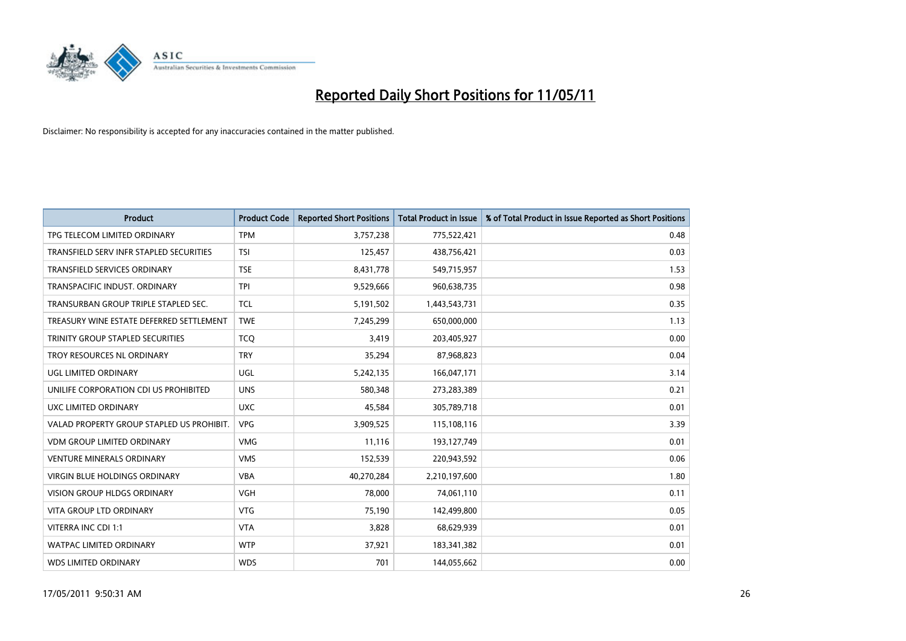

| <b>Product</b>                            | <b>Product Code</b> | <b>Reported Short Positions</b> | <b>Total Product in Issue</b> | % of Total Product in Issue Reported as Short Positions |
|-------------------------------------------|---------------------|---------------------------------|-------------------------------|---------------------------------------------------------|
| TPG TELECOM LIMITED ORDINARY              | <b>TPM</b>          | 3,757,238                       | 775,522,421                   | 0.48                                                    |
| TRANSFIELD SERV INFR STAPLED SECURITIES   | <b>TSI</b>          | 125,457                         | 438,756,421                   | 0.03                                                    |
| <b>TRANSFIELD SERVICES ORDINARY</b>       | <b>TSE</b>          | 8,431,778                       | 549,715,957                   | 1.53                                                    |
| TRANSPACIFIC INDUST. ORDINARY             | <b>TPI</b>          | 9,529,666                       | 960,638,735                   | 0.98                                                    |
| TRANSURBAN GROUP TRIPLE STAPLED SEC.      | <b>TCL</b>          | 5,191,502                       | 1,443,543,731                 | 0.35                                                    |
| TREASURY WINE ESTATE DEFERRED SETTLEMENT  | <b>TWE</b>          | 7,245,299                       | 650,000,000                   | 1.13                                                    |
| <b>TRINITY GROUP STAPLED SECURITIES</b>   | <b>TCO</b>          | 3,419                           | 203,405,927                   | 0.00                                                    |
| TROY RESOURCES NL ORDINARY                | <b>TRY</b>          | 35,294                          | 87,968,823                    | 0.04                                                    |
| UGL LIMITED ORDINARY                      | UGL                 | 5,242,135                       | 166,047,171                   | 3.14                                                    |
| UNILIFE CORPORATION CDI US PROHIBITED     | <b>UNS</b>          | 580,348                         | 273,283,389                   | 0.21                                                    |
| UXC LIMITED ORDINARY                      | <b>UXC</b>          | 45,584                          | 305,789,718                   | 0.01                                                    |
| VALAD PROPERTY GROUP STAPLED US PROHIBIT. | <b>VPG</b>          | 3,909,525                       | 115,108,116                   | 3.39                                                    |
| <b>VDM GROUP LIMITED ORDINARY</b>         | <b>VMG</b>          | 11,116                          | 193,127,749                   | 0.01                                                    |
| <b>VENTURE MINERALS ORDINARY</b>          | <b>VMS</b>          | 152,539                         | 220,943,592                   | 0.06                                                    |
| <b>VIRGIN BLUE HOLDINGS ORDINARY</b>      | <b>VBA</b>          | 40,270,284                      | 2,210,197,600                 | 1.80                                                    |
| VISION GROUP HLDGS ORDINARY               | <b>VGH</b>          | 78,000                          | 74,061,110                    | 0.11                                                    |
| VITA GROUP LTD ORDINARY                   | <b>VTG</b>          | 75,190                          | 142,499,800                   | 0.05                                                    |
| VITERRA INC CDI 1:1                       | <b>VTA</b>          | 3,828                           | 68,629,939                    | 0.01                                                    |
| <b>WATPAC LIMITED ORDINARY</b>            | <b>WTP</b>          | 37,921                          | 183,341,382                   | 0.01                                                    |
| <b>WDS LIMITED ORDINARY</b>               | <b>WDS</b>          | 701                             | 144,055,662                   | 0.00                                                    |